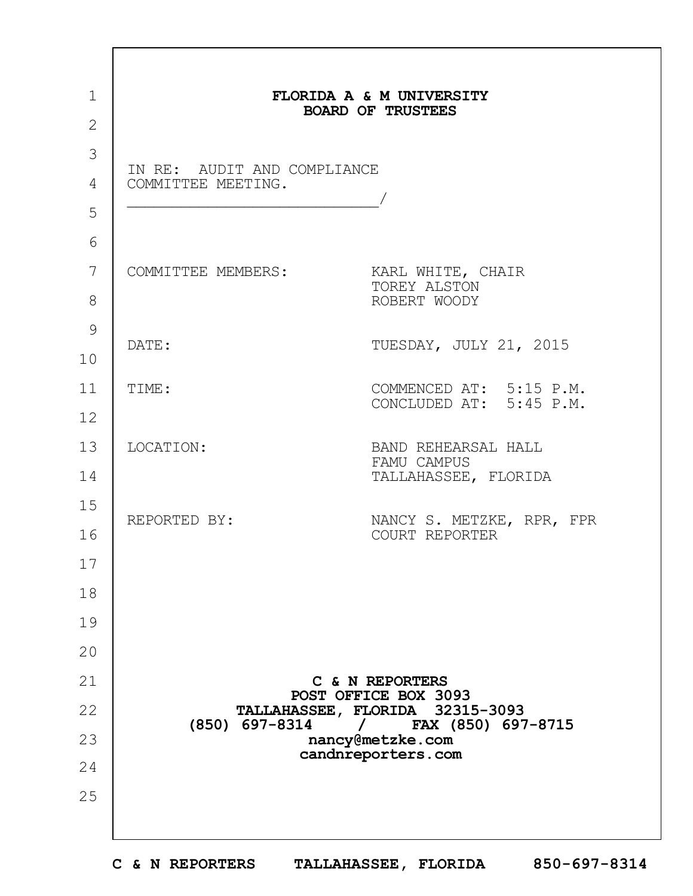| $\mathbf 1$<br>$\overline{2}$ |                                                   | FLORIDA A & M UNIVERSITY<br><b>BOARD OF TRUSTEES</b>       |
|-------------------------------|---------------------------------------------------|------------------------------------------------------------|
| 3<br>4<br>5                   | IN RE: AUDIT AND COMPLIANCE<br>COMMITTEE MEETING. |                                                            |
| 6<br>7<br>8                   | COMMITTEE MEMBERS:                                | KARL WHITE, CHAIR<br>TOREY ALSTON<br>ROBERT WOODY          |
| 9<br>10                       | DATE:                                             | TUESDAY, JULY 21, 2015                                     |
| 11<br>12                      | TIME:                                             | COMMENCED AT: 5:15 P.M.<br>CONCLUDED AT: 5:45 P.M.         |
| 13<br>14                      | LOCATION:                                         | BAND REHEARSAL HALL<br>FAMU CAMPUS<br>TALLAHASSEE, FLORIDA |
| 15<br>16                      | REPORTED BY:                                      | NANCY S. METZKE, RPR, FPR<br>COURT REPORTER                |
| 17<br>18                      |                                                   |                                                            |
| 19                            |                                                   |                                                            |
| 20                            |                                                   |                                                            |
| 21                            |                                                   | C & N REPORTERS<br>POST OFFICE BOX 3093                    |
| 22                            | (850) 697-8314                                    | TALLAHASSEE, FLORIDA 32315-3093<br>FAX (850) 697-8715      |
| 23                            |                                                   | nancy@metzke.com<br>candnreporters.com                     |
| 24                            |                                                   |                                                            |
| 25                            |                                                   |                                                            |

 $\Gamma$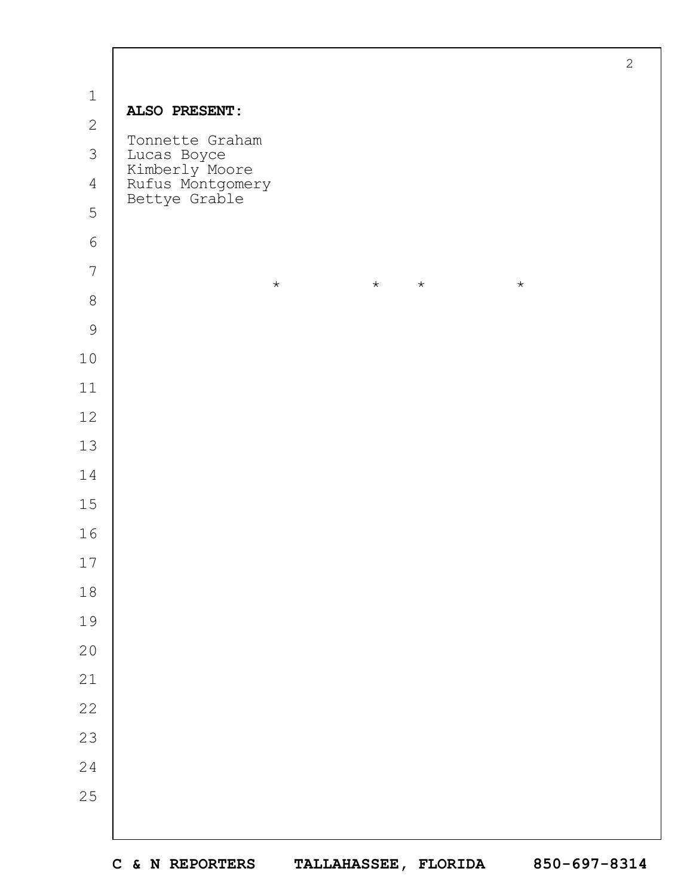|                |                                                                    | $\mathbf{2}$ |  |  |  |  |
|----------------|--------------------------------------------------------------------|--------------|--|--|--|--|
| $\mathbf 1$    |                                                                    |              |  |  |  |  |
| $\mathbf{2}$   | ALSO PRESENT:                                                      |              |  |  |  |  |
| $\mathfrak{Z}$ | Tonnette Graham                                                    |              |  |  |  |  |
| $\overline{4}$ | Lucas Boyce<br>Kimberly Moore<br>Rufus Montgomery<br>Bettye Grable |              |  |  |  |  |
| 5              |                                                                    |              |  |  |  |  |
| $\epsilon$     |                                                                    |              |  |  |  |  |
| $\overline{7}$ | $\star$<br>$\star$                                                 |              |  |  |  |  |
| $\,8\,$        | $\star$<br>$\star$                                                 |              |  |  |  |  |
| $\mathcal{G}$  |                                                                    |              |  |  |  |  |
| $10$           |                                                                    |              |  |  |  |  |
| 11             |                                                                    |              |  |  |  |  |
| 12             |                                                                    |              |  |  |  |  |
| 13             |                                                                    |              |  |  |  |  |
| 14             |                                                                    |              |  |  |  |  |
| 15             |                                                                    |              |  |  |  |  |
| 16             |                                                                    |              |  |  |  |  |
| $17\,$         |                                                                    |              |  |  |  |  |
| $1\,8$         |                                                                    |              |  |  |  |  |
| 19             |                                                                    |              |  |  |  |  |
| $20$           |                                                                    |              |  |  |  |  |
| $21$           |                                                                    |              |  |  |  |  |
| 22             |                                                                    |              |  |  |  |  |
| 23             |                                                                    |              |  |  |  |  |
| 24             |                                                                    |              |  |  |  |  |
| 25             |                                                                    |              |  |  |  |  |
|                |                                                                    |              |  |  |  |  |
|                |                                                                    |              |  |  |  |  |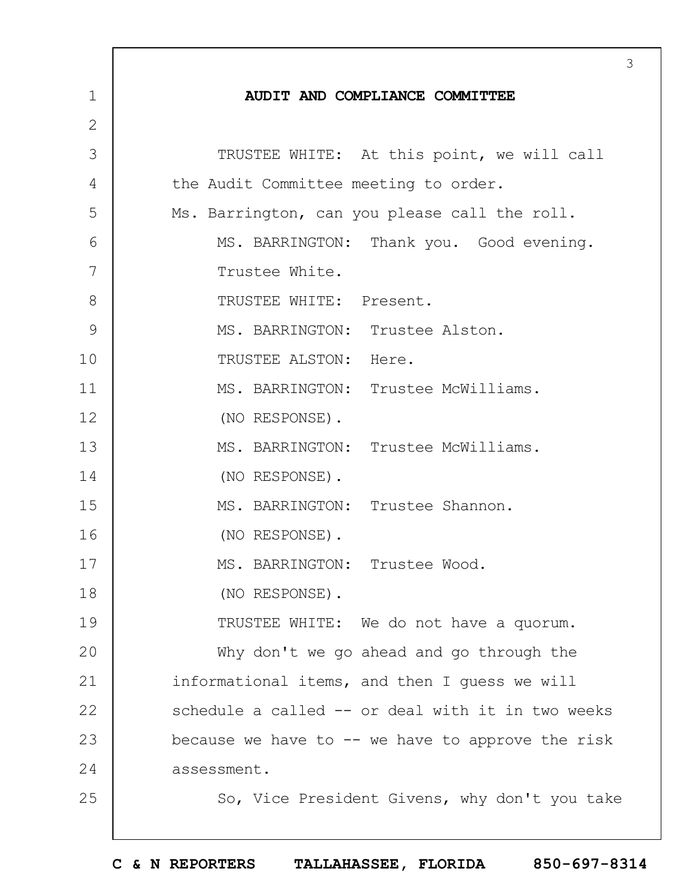|               | 3                                                  |
|---------------|----------------------------------------------------|
| $\mathbf 1$   | AUDIT AND COMPLIANCE COMMITTEE                     |
| $\mathbf{2}$  |                                                    |
| 3             | TRUSTEE WHITE: At this point, we will call         |
| 4             | the Audit Committee meeting to order.              |
| 5             | Ms. Barrington, can you please call the roll.      |
| 6             | MS. BARRINGTON: Thank you. Good evening.           |
| 7             | Trustee White.                                     |
| 8             | TRUSTEE WHITE: Present.                            |
| $\mathcal{G}$ | MS. BARRINGTON: Trustee Alston.                    |
| 10            | TRUSTEE ALSTON: Here.                              |
| 11            | MS. BARRINGTON: Trustee McWilliams.                |
| 12            | (NO RESPONSE).                                     |
| 13            | MS. BARRINGTON: Trustee McWilliams.                |
| 14            | (NO RESPONSE).                                     |
| 15            | MS. BARRINGTON: Trustee Shannon.                   |
| 16            | (NO RESPONSE).                                     |
| 17            | MS. BARRINGTON: Trustee Wood.                      |
| 18            | (NO RESPONSE).                                     |
| 19            | TRUSTEE WHITE: We do not have a quorum.            |
| 20            | Why don't we go ahead and go through the           |
| 21            | informational items, and then I quess we will      |
| 22            | schedule a called -- or deal with it in two weeks  |
| 23            | because we have to $-$ we have to approve the risk |
| 24            | assessment.                                        |
| 25            | So, Vice President Givens, why don't you take      |
|               |                                                    |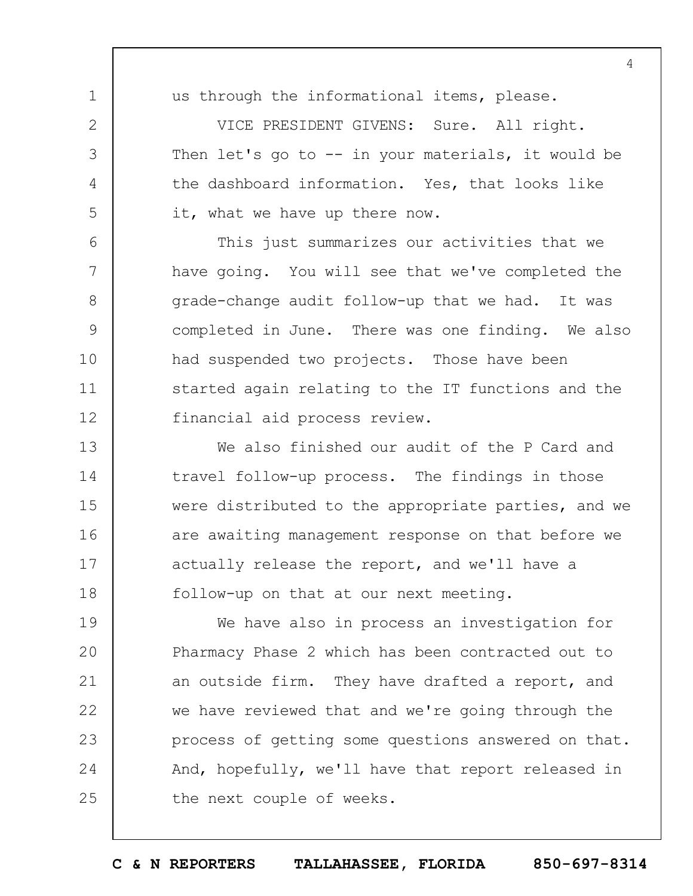1 2

3

4

5

6

7

8

9

10

11

12

us through the informational items, please.

VICE PRESIDENT GIVENS: Sure. All right. Then let's go to  $-$  in your materials, it would be the dashboard information. Yes, that looks like it, what we have up there now.

This just summarizes our activities that we have going. You will see that we've completed the grade-change audit follow-up that we had. It was completed in June. There was one finding. We also had suspended two projects. Those have been started again relating to the IT functions and the financial aid process review.

13 14 15 16 17 18 We also finished our audit of the P Card and travel follow-up process. The findings in those were distributed to the appropriate parties, and we are awaiting management response on that before we actually release the report, and we'll have a follow-up on that at our next meeting.

19  $20$ 21 22 23 24 25 We have also in process an investigation for Pharmacy Phase 2 which has been contracted out to an outside firm. They have drafted a report, and we have reviewed that and we're going through the process of getting some questions answered on that. And, hopefully, we'll have that report released in the next couple of weeks.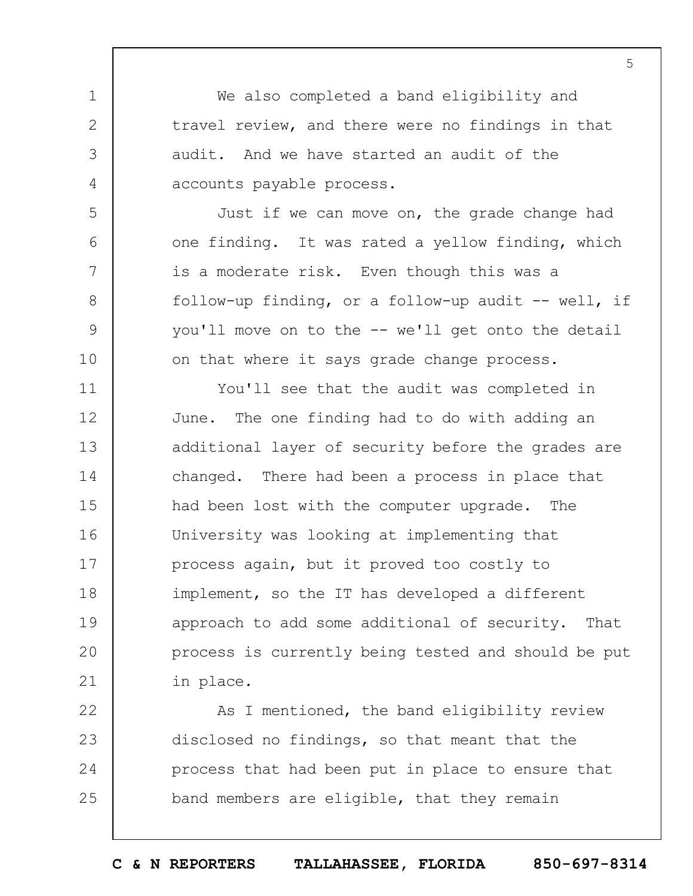We also completed a band eligibility and travel review, and there were no findings in that audit. And we have started an audit of the accounts payable process.

1

2

3

4

5

6

7

8

9

10

Just if we can move on, the grade change had one finding. It was rated a yellow finding, which is a moderate risk. Even though this was a follow-up finding, or a follow-up audit  $--$  well, if you'll move on to the -- we'll get onto the detail on that where it says grade change process.

11 12 13 14 15 16 17 18 19  $20$ 21 You'll see that the audit was completed in June. The one finding had to do with adding an additional layer of security before the grades are changed. There had been a process in place that had been lost with the computer upgrade. The University was looking at implementing that process again, but it proved too costly to implement, so the IT has developed a different approach to add some additional of security. That process is currently being tested and should be put in place.

22 23 24 25 As I mentioned, the band eligibility review disclosed no findings, so that meant that the process that had been put in place to ensure that band members are eligible, that they remain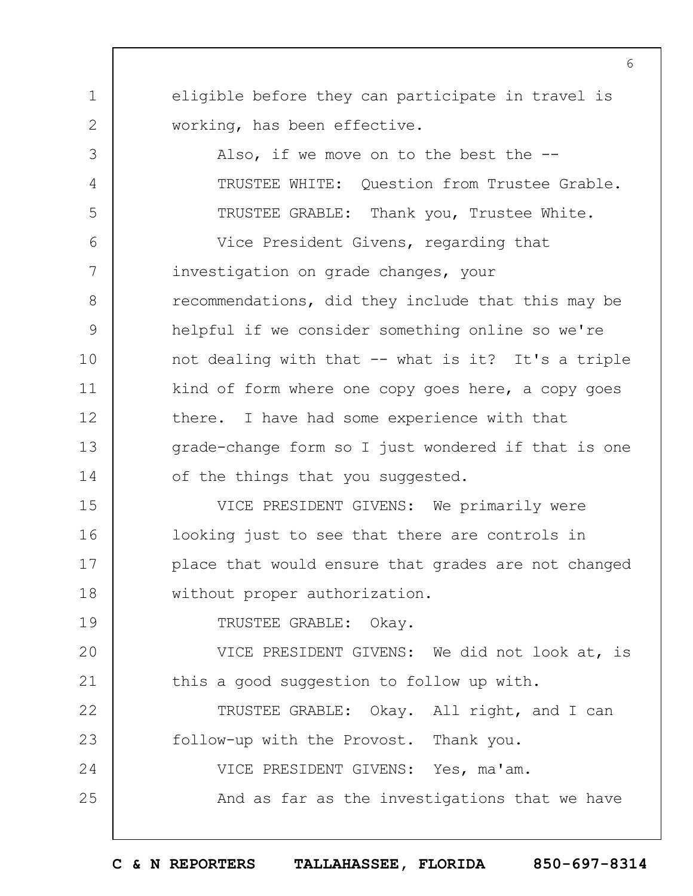eligible before they can participate in travel is working, has been effective.

1

2

3

4

5

6

19

24

25

Also, if we move on to the best the -- TRUSTEE WHITE: Question from Trustee Grable. TRUSTEE GRABLE: Thank you, Trustee White.

7 8 9 10 11 12 13 14 Vice President Givens, regarding that investigation on grade changes, your recommendations, did they include that this may be helpful if we consider something online so we're not dealing with that -- what is it? It's a triple kind of form where one copy goes here, a copy goes there. I have had some experience with that grade-change form so I just wondered if that is one of the things that you suggested.

15 16 17 18 VICE PRESIDENT GIVENS: We primarily were looking just to see that there are controls in place that would ensure that grades are not changed without proper authorization.

TRUSTEE GRABLE: Okay.

 $20$ 21 VICE PRESIDENT GIVENS: We did not look at, is this a good suggestion to follow up with.

22 23 TRUSTEE GRABLE: Okay. All right, and I can follow-up with the Provost. Thank you.

VICE PRESIDENT GIVENS: Yes, ma'am.

And as far as the investigations that we have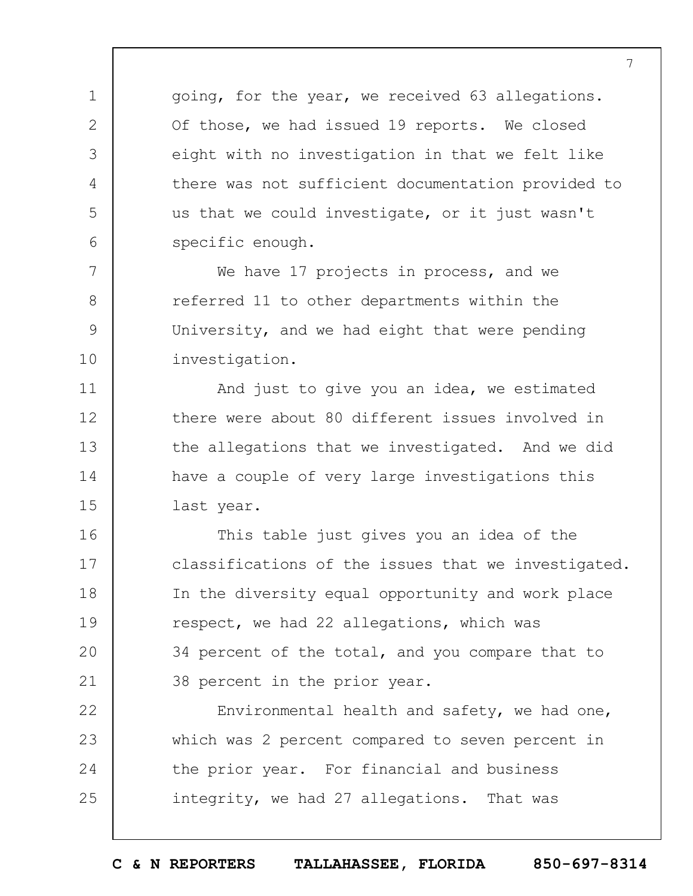going, for the year, we received 63 allegations. Of those, we had issued 19 reports. We closed eight with no investigation in that we felt like there was not sufficient documentation provided to us that we could investigate, or it just wasn't specific enough.

We have 17 projects in process, and we referred 11 to other departments within the University, and we had eight that were pending investigation.

1

2

3

4

5

6

7

8

9

10

11

12

13

14

15

And just to give you an idea, we estimated there were about 80 different issues involved in the allegations that we investigated. And we did have a couple of very large investigations this last year.

16 17 18 19  $20$ 21 This table just gives you an idea of the classifications of the issues that we investigated. In the diversity equal opportunity and work place respect, we had 22 allegations, which was 34 percent of the total, and you compare that to 38 percent in the prior year.

22 23 24 25 Environmental health and safety, we had one, which was 2 percent compared to seven percent in the prior year. For financial and business integrity, we had 27 allegations. That was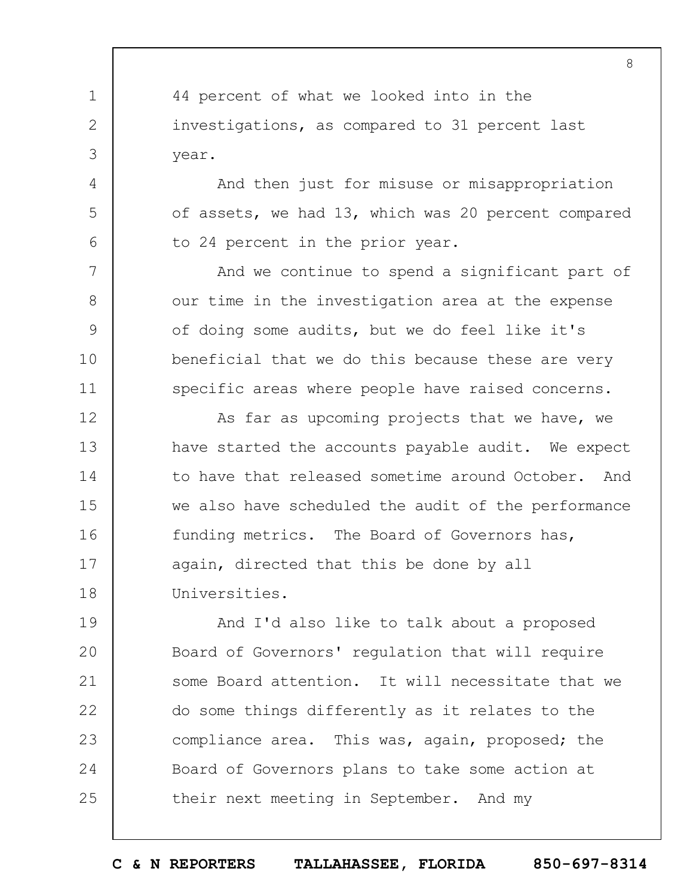44 percent of what we looked into in the investigations, as compared to 31 percent last year.

1

2

3

4

5

6

7

8

9

10

11

And then just for misuse or misappropriation of assets, we had 13, which was 20 percent compared to 24 percent in the prior year.

And we continue to spend a significant part of our time in the investigation area at the expense of doing some audits, but we do feel like it's beneficial that we do this because these are very specific areas where people have raised concerns.

12 13 14 15 16 17 18 As far as upcoming projects that we have, we have started the accounts payable audit. We expect to have that released sometime around October. And we also have scheduled the audit of the performance funding metrics. The Board of Governors has, again, directed that this be done by all Universities.

19  $20$ 21 22 23 24 25 And I'd also like to talk about a proposed Board of Governors' regulation that will require some Board attention. It will necessitate that we do some things differently as it relates to the compliance area. This was, again, proposed; the Board of Governors plans to take some action at their next meeting in September. And my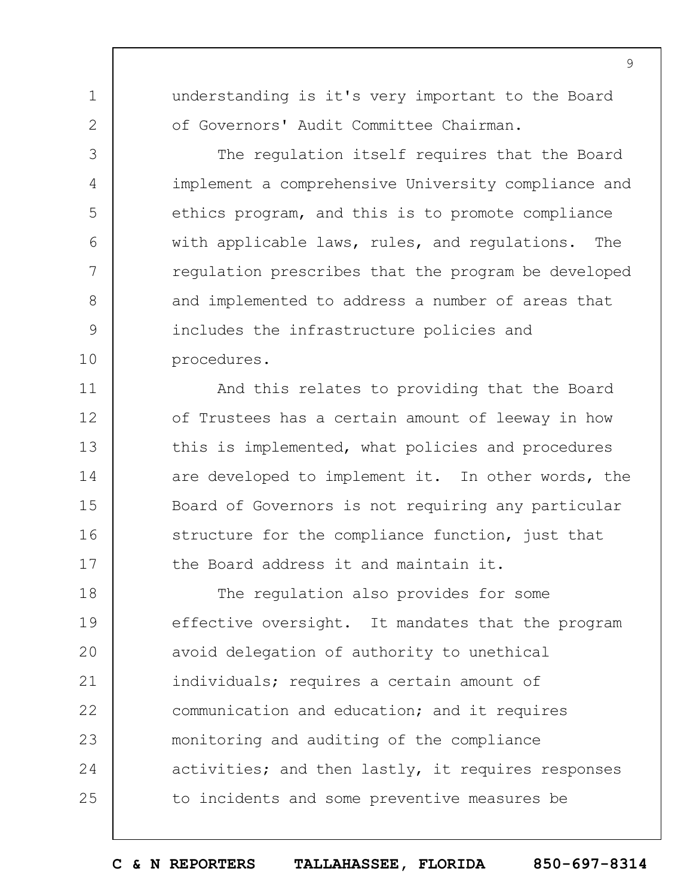understanding is it's very important to the Board of Governors' Audit Committee Chairman.

1

2

3

4

5

6

7

8

9

10

11

12

13

14

15

16

17

The regulation itself requires that the Board implement a comprehensive University compliance and ethics program, and this is to promote compliance with applicable laws, rules, and regulations. The regulation prescribes that the program be developed and implemented to address a number of areas that includes the infrastructure policies and procedures.

And this relates to providing that the Board of Trustees has a certain amount of leeway in how this is implemented, what policies and procedures are developed to implement it. In other words, the Board of Governors is not requiring any particular structure for the compliance function, just that the Board address it and maintain it.

18 19  $20$ 21 22 23 24 25 The regulation also provides for some effective oversight. It mandates that the program avoid delegation of authority to unethical individuals; requires a certain amount of communication and education; and it requires monitoring and auditing of the compliance activities; and then lastly, it requires responses to incidents and some preventive measures be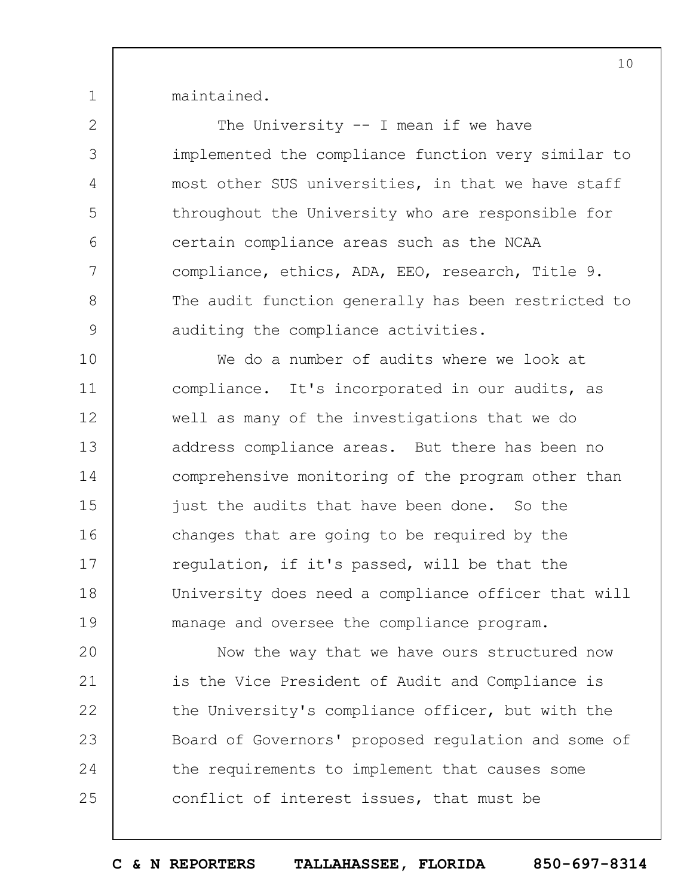maintained.

1

2 3 4 5 6 7 8 9 10 11 12 13 14 The University  $--$  I mean if we have implemented the compliance function very similar to most other SUS universities, in that we have staff throughout the University who are responsible for certain compliance areas such as the NCAA compliance, ethics, ADA, EEO, research, Title 9. The audit function generally has been restricted to auditing the compliance activities. We do a number of audits where we look at compliance. It's incorporated in our audits, as well as many of the investigations that we do address compliance areas. But there has been no comprehensive monitoring of the program other than

15 16 17 18 19 just the audits that have been done. So the changes that are going to be required by the regulation, if it's passed, will be that the University does need a compliance officer that will manage and oversee the compliance program.

 $20$ 21 22 23 24 25 Now the way that we have ours structured now is the Vice President of Audit and Compliance is the University's compliance officer, but with the Board of Governors' proposed regulation and some of the requirements to implement that causes some conflict of interest issues, that must be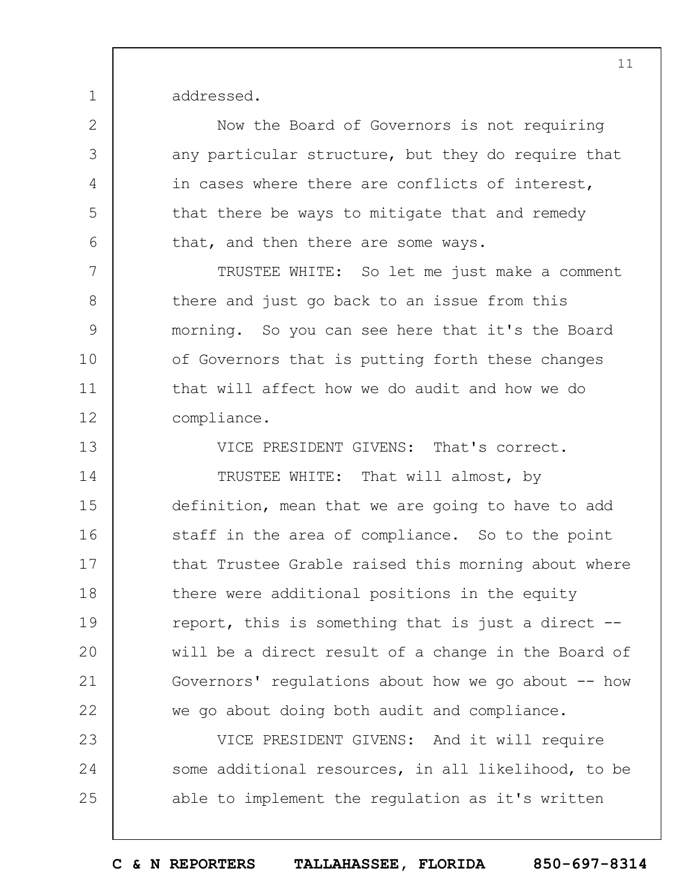addressed.

1

2

3

4

5

6

7

8

9

10

11

12

Now the Board of Governors is not requiring any particular structure, but they do require that in cases where there are conflicts of interest, that there be ways to mitigate that and remedy that, and then there are some ways.

TRUSTEE WHITE: So let me just make a comment there and just go back to an issue from this morning. So you can see here that it's the Board of Governors that is putting forth these changes that will affect how we do audit and how we do compliance.

13 14 15 16 17 18 19  $20$ 21 22 VICE PRESIDENT GIVENS: That's correct. TRUSTEE WHITE: That will almost, by definition, mean that we are going to have to add staff in the area of compliance. So to the point that Trustee Grable raised this morning about where there were additional positions in the equity report, this is something that is just a direct - will be a direct result of a change in the Board of Governors' regulations about how we go about -- how we go about doing both audit and compliance.

23 24 25 VICE PRESIDENT GIVENS: And it will require some additional resources, in all likelihood, to be able to implement the regulation as it's written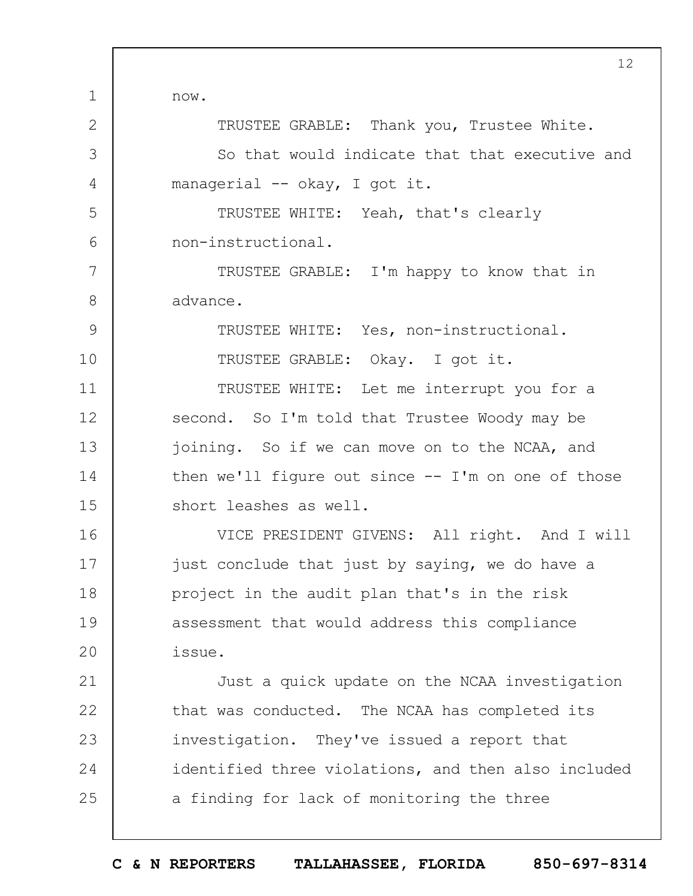1 2 3 4 5 6 7 8 9 10 11 12 13 14 15 16 17 18 19  $20$ 21 22 23 24 25 12 now. TRUSTEE GRABLE: Thank you, Trustee White. So that would indicate that that executive and managerial -- okay, I got it. TRUSTEE WHITE: Yeah, that's clearly non-instructional. TRUSTEE GRABLE: I'm happy to know that in advance. TRUSTEE WHITE: Yes, non-instructional. TRUSTEE GRABLE: Okay. I got it. TRUSTEE WHITE: Let me interrupt you for a second. So I'm told that Trustee Woody may be joining. So if we can move on to the NCAA, and then we'll figure out since -- I'm on one of those short leashes as well. VICE PRESIDENT GIVENS: All right. And I will just conclude that just by saying, we do have a project in the audit plan that's in the risk assessment that would address this compliance issue. Just a quick update on the NCAA investigation that was conducted. The NCAA has completed its investigation. They've issued a report that identified three violations, and then also included a finding for lack of monitoring the three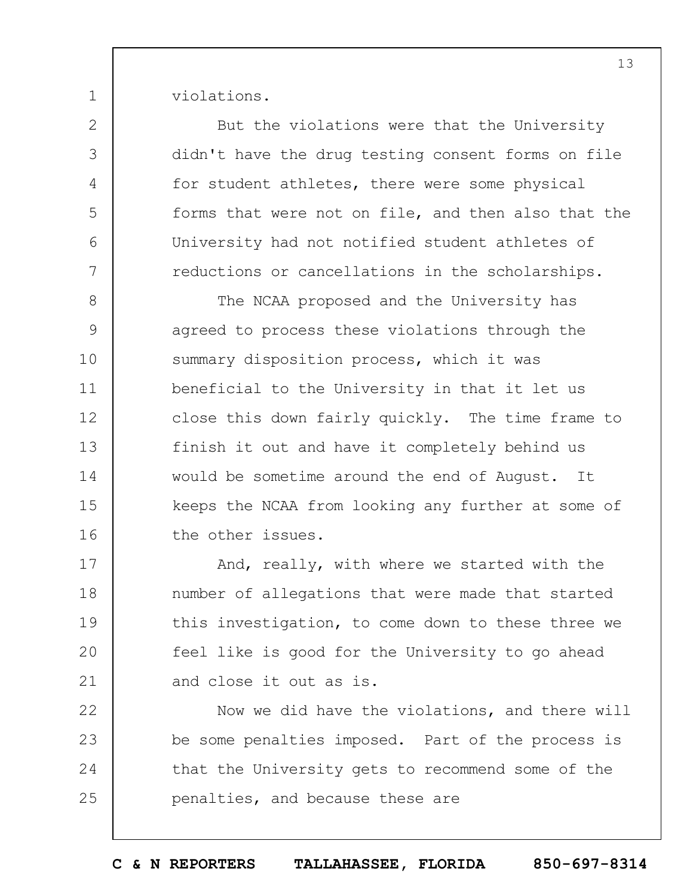violations.

1

| 2             | But the violations were that the University         |
|---------------|-----------------------------------------------------|
| 3             | didn't have the drug testing consent forms on file  |
| 4             | for student athletes, there were some physical      |
| 5             | forms that were not on file, and then also that the |
| 6             | University had not notified student athletes of     |
| 7             | reductions or cancellations in the scholarships.    |
| $8\,$         | The NCAA proposed and the University has            |
| $\mathcal{G}$ | agreed to process these violations through the      |
| 10            | summary disposition process, which it was           |
| 11            | beneficial to the University in that it let us      |
| 12            | close this down fairly quickly. The time frame to   |
| 13            | finish it out and have it completely behind us      |
| 14            | would be sometime around the end of August. It      |
| 15            | keeps the NCAA from looking any further at some of  |
| 16            | the other issues.                                   |
| 17            | And, really, with where we started with the         |
| 18            | number of allegations that were made that started   |
| 19            | this investigation, to come down to these three we  |
| 20            | feel like is good for the University to go ahead    |
| 21            | and close it out as is.                             |
| 22            | Now we did have the violations, and there will      |
| 23            | be some penalties imposed. Part of the process is   |
| 24            | that the University gets to recommend some of the   |
| 25            | penalties, and because these are                    |

13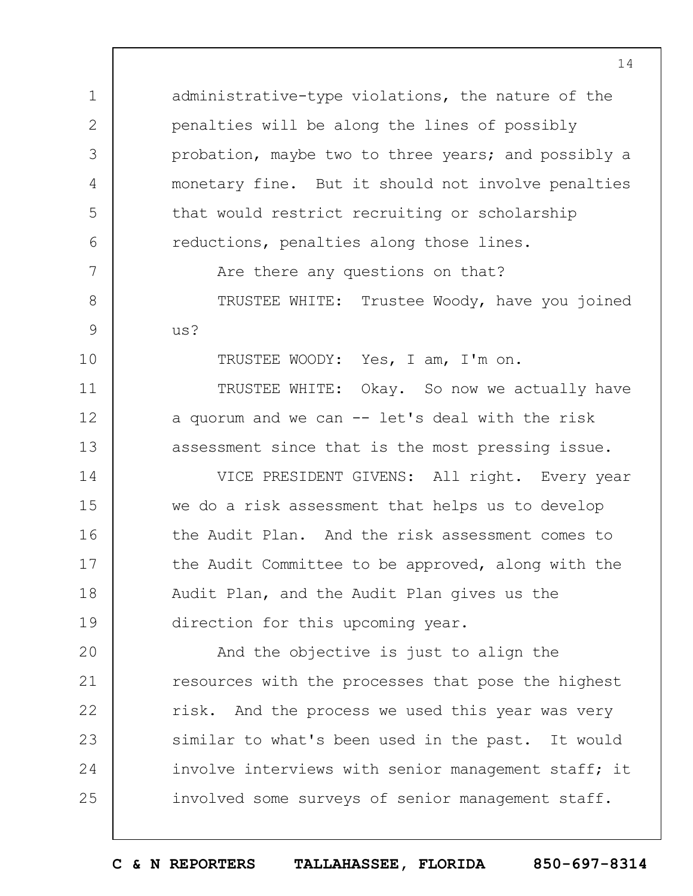administrative-type violations, the nature of the penalties will be along the lines of possibly probation, maybe two to three years; and possibly a monetary fine. But it should not involve penalties that would restrict recruiting or scholarship reductions, penalties along those lines.

Are there any questions on that?

1

2

3

4

5

6

7

8

9

10

11

12

13

TRUSTEE WHITE: Trustee Woody, have you joined us?

TRUSTEE WOODY: Yes, I am, I'm on.

TRUSTEE WHITE: Okay. So now we actually have a quorum and we can  $-$  let's deal with the risk assessment since that is the most pressing issue.

14 15 16 17 18 19 VICE PRESIDENT GIVENS: All right. Every year we do a risk assessment that helps us to develop the Audit Plan. And the risk assessment comes to the Audit Committee to be approved, along with the Audit Plan, and the Audit Plan gives us the direction for this upcoming year.

 $20$ 21 22 23 24 25 And the objective is just to align the resources with the processes that pose the highest risk. And the process we used this year was very similar to what's been used in the past. It would involve interviews with senior management staff; it involved some surveys of senior management staff.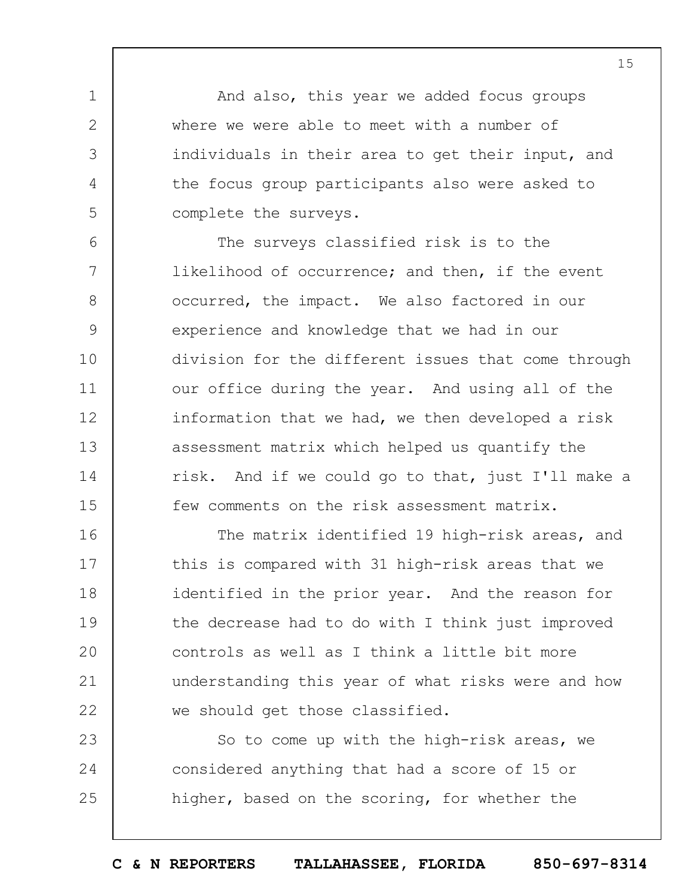And also, this year we added focus groups where we were able to meet with a number of individuals in their area to get their input, and the focus group participants also were asked to complete the surveys.

1

2

3

4

5

23

24

25

6 7 8 9 10 11 12 13 14 15 The surveys classified risk is to the likelihood of occurrence; and then, if the event occurred, the impact. We also factored in our experience and knowledge that we had in our division for the different issues that come through our office during the year. And using all of the information that we had, we then developed a risk assessment matrix which helped us quantify the risk. And if we could go to that, just I'll make a few comments on the risk assessment matrix.

16 17 18 19  $20$ 21 22 The matrix identified 19 high-risk areas, and this is compared with 31 high-risk areas that we identified in the prior year. And the reason for the decrease had to do with I think just improved controls as well as I think a little bit more understanding this year of what risks were and how we should get those classified.

So to come up with the high-risk areas, we considered anything that had a score of 15 or higher, based on the scoring, for whether the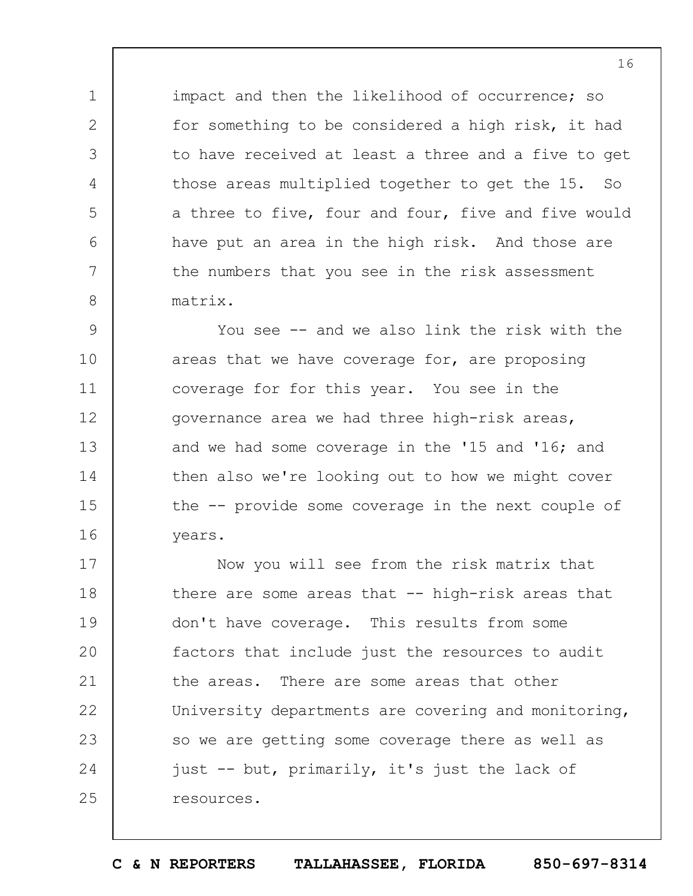impact and then the likelihood of occurrence; so for something to be considered a high risk, it had to have received at least a three and a five to get those areas multiplied together to get the 15. So a three to five, four and four, five and five would have put an area in the high risk. And those are the numbers that you see in the risk assessment matrix.

1

2

3

4

5

6

7

8

9 10 11 12 13 14 15 16 You see -- and we also link the risk with the areas that we have coverage for, are proposing coverage for for this year. You see in the governance area we had three high-risk areas, and we had some coverage in the '15 and '16; and then also we're looking out to how we might cover the -- provide some coverage in the next couple of years.

17 18 19  $20$ 21 22 23 24 25 Now you will see from the risk matrix that there are some areas that -- high-risk areas that don't have coverage. This results from some factors that include just the resources to audit the areas. There are some areas that other University departments are covering and monitoring, so we are getting some coverage there as well as just -- but, primarily, it's just the lack of resources.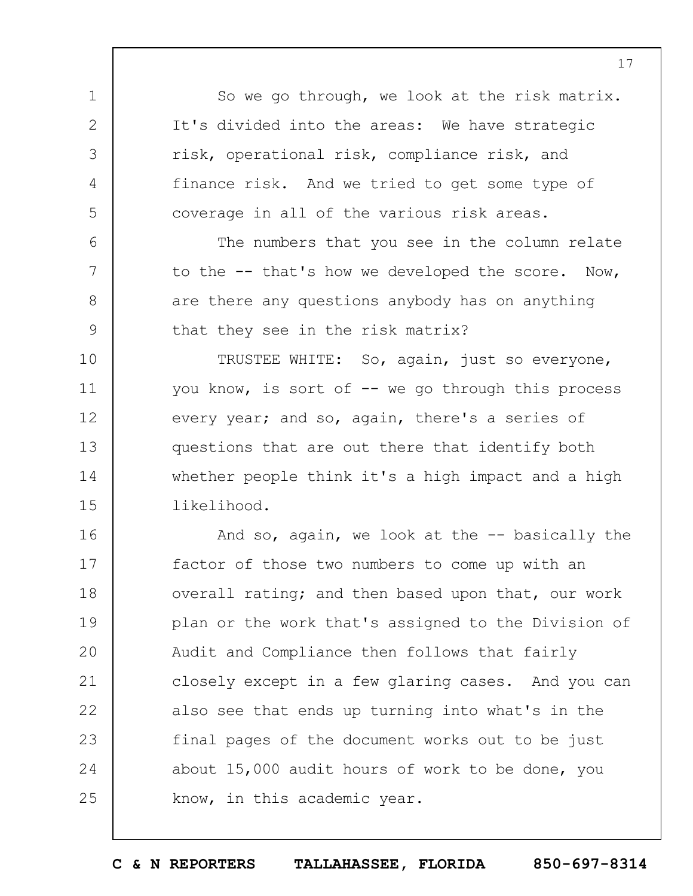So we go through, we look at the risk matrix. It's divided into the areas: We have strategic risk, operational risk, compliance risk, and finance risk. And we tried to get some type of coverage in all of the various risk areas.

1

2

3

4

5

6

7

8

9

The numbers that you see in the column relate to the -- that's how we developed the score. Now, are there any questions anybody has on anything that they see in the risk matrix?

10 11 12 13 14 15 TRUSTEE WHITE: So, again, just so everyone, you know, is sort of -- we go through this process every year; and so, again, there's a series of questions that are out there that identify both whether people think it's a high impact and a high likelihood.

16 17 18 19  $20$ 21 22 23 24 25 And so, again, we look at the  $-$ - basically the factor of those two numbers to come up with an overall rating; and then based upon that, our work plan or the work that's assigned to the Division of Audit and Compliance then follows that fairly closely except in a few glaring cases. And you can also see that ends up turning into what's in the final pages of the document works out to be just about 15,000 audit hours of work to be done, you know, in this academic year.

**C & N REPORTERS TALLAHASSEE, FLORIDA 850-697-8314**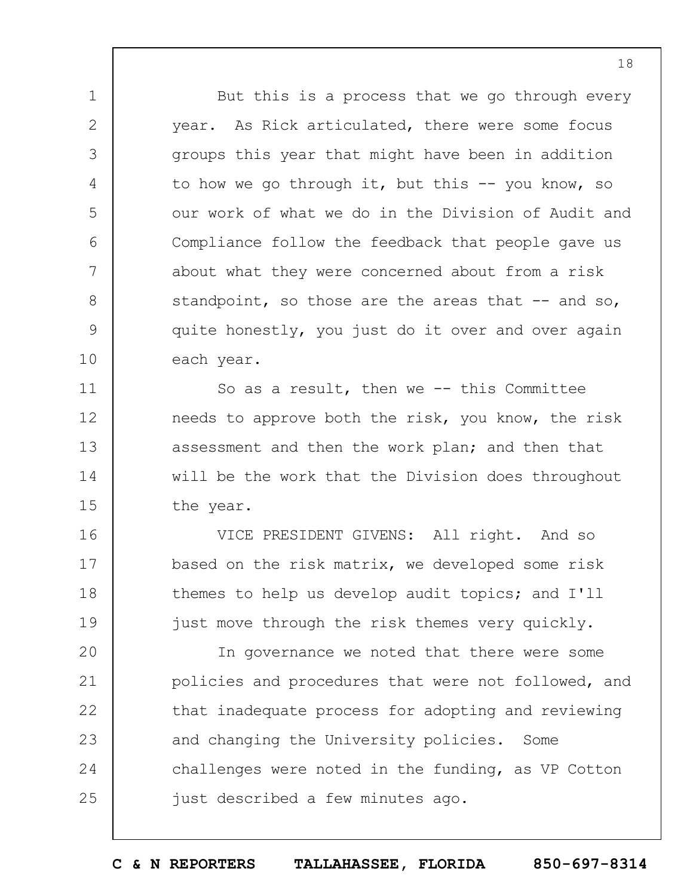But this is a process that we go through every year. As Rick articulated, there were some focus groups this year that might have been in addition to how we go through it, but this  $-$ - you know, so our work of what we do in the Division of Audit and Compliance follow the feedback that people gave us about what they were concerned about from a risk standpoint, so those are the areas that  $-$  and so, quite honestly, you just do it over and over again each year.

1

2

3

4

5

6

7

8

9

10

11 12 13 14 15 So as a result, then we -- this Committee needs to approve both the risk, you know, the risk assessment and then the work plan; and then that will be the work that the Division does throughout the year.

16 17 18 19 VICE PRESIDENT GIVENS: All right. And so based on the risk matrix, we developed some risk themes to help us develop audit topics; and I'll just move through the risk themes very quickly.

 $20$ 21 22 23 24 25 In governance we noted that there were some policies and procedures that were not followed, and that inadequate process for adopting and reviewing and changing the University policies. Some challenges were noted in the funding, as VP Cotton just described a few minutes ago.

**C & N REPORTERS TALLAHASSEE, FLORIDA 850-697-8314**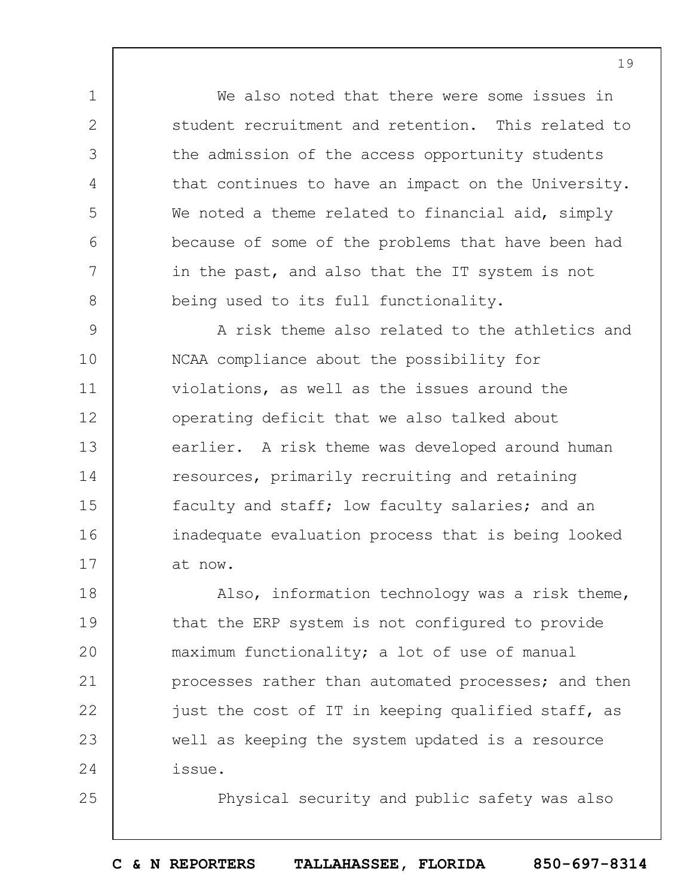We also noted that there were some issues in student recruitment and retention. This related to the admission of the access opportunity students that continues to have an impact on the University. We noted a theme related to financial aid, simply because of some of the problems that have been had in the past, and also that the IT system is not being used to its full functionality.

1

2

3

4

5

6

7

8

25

9 10 11 12 13 14 15 16 17 A risk theme also related to the athletics and NCAA compliance about the possibility for violations, as well as the issues around the operating deficit that we also talked about earlier. A risk theme was developed around human resources, primarily recruiting and retaining faculty and staff; low faculty salaries; and an inadequate evaluation process that is being looked at now.

18 19  $20$ 21 22 23 24 Also, information technology was a risk theme, that the ERP system is not configured to provide maximum functionality; a lot of use of manual processes rather than automated processes; and then just the cost of IT in keeping qualified staff, as well as keeping the system updated is a resource issue.

Physical security and public safety was also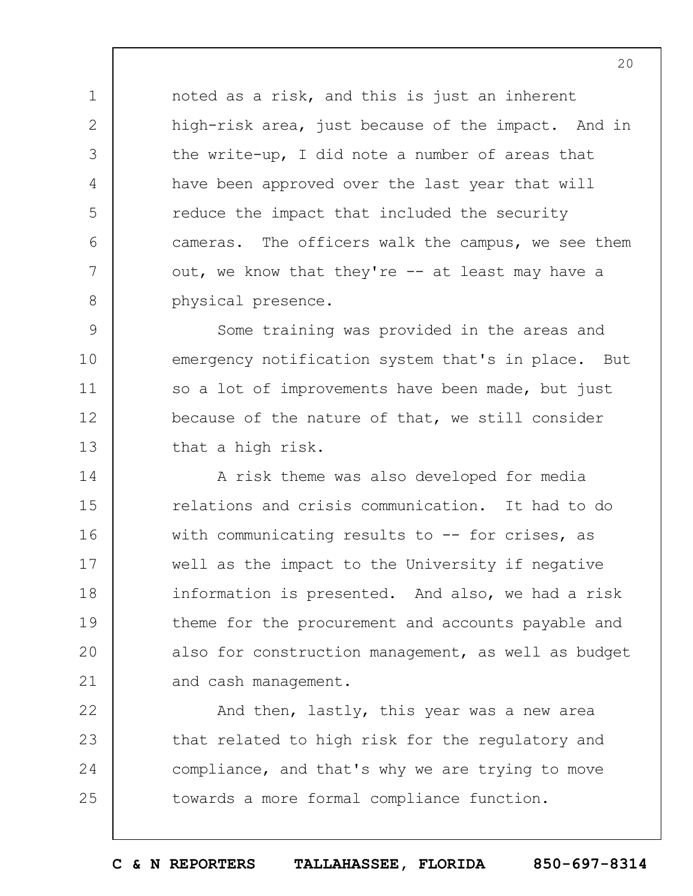noted as a risk, and this is just an inherent high-risk area, just because of the impact. And in the write-up, I did note a number of areas that have been approved over the last year that will reduce the impact that included the security cameras. The officers walk the campus, we see them out, we know that they're -- at least may have a physical presence.

1

2

3

4

5

6

7

8

9 10 11 12 13 Some training was provided in the areas and emergency notification system that's in place. But so a lot of improvements have been made, but just because of the nature of that, we still consider that a high risk.

14 15 16 17 18 19  $20$ 21 A risk theme was also developed for media relations and crisis communication. It had to do with communicating results to  $-$ - for crises, as well as the impact to the University if negative information is presented. And also, we had a risk theme for the procurement and accounts payable and also for construction management, as well as budget and cash management.

22 23 24 25 And then, lastly, this year was a new area that related to high risk for the regulatory and compliance, and that's why we are trying to move towards a more formal compliance function.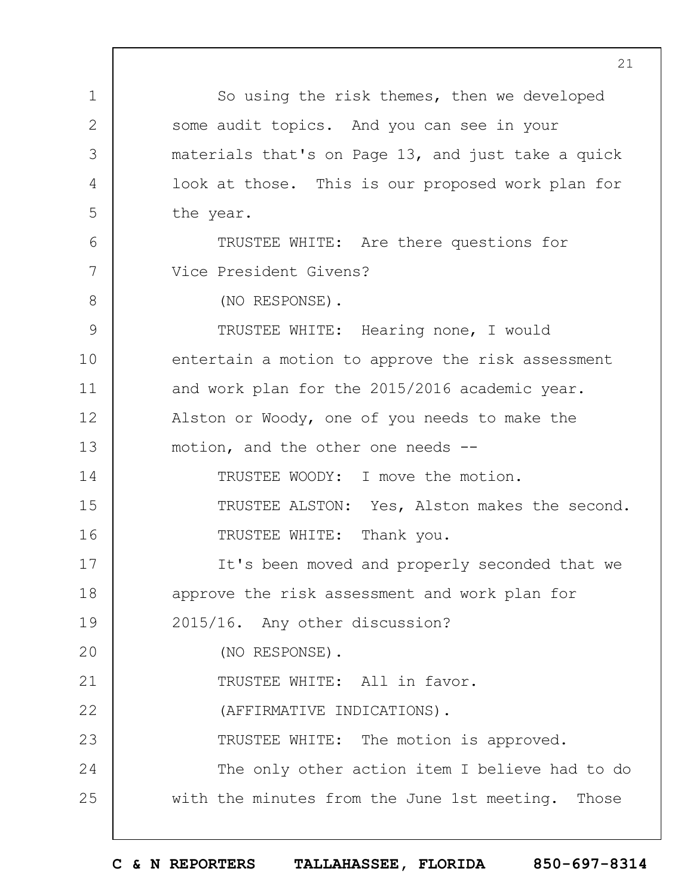1 2 3 4 5 6 7 8 9 10 11 12 13 14 15 16 17 18 19  $20$ 21 22 23 24 25 21 So using the risk themes, then we developed some audit topics. And you can see in your materials that's on Page 13, and just take a quick look at those. This is our proposed work plan for the year. TRUSTEE WHITE: Are there questions for Vice President Givens? (NO RESPONSE). TRUSTEE WHITE: Hearing none, I would entertain a motion to approve the risk assessment and work plan for the 2015/2016 academic year. Alston or Woody, one of you needs to make the motion, and the other one needs -- TRUSTEE WOODY: I move the motion. TRUSTEE ALSTON: Yes, Alston makes the second. TRUSTEE WHITE: Thank you. It's been moved and properly seconded that we approve the risk assessment and work plan for 2015/16. Any other discussion? (NO RESPONSE). TRUSTEE WHITE: All in favor. (AFFIRMATIVE INDICATIONS). TRUSTEE WHITE: The motion is approved. The only other action item I believe had to do with the minutes from the June 1st meeting. Those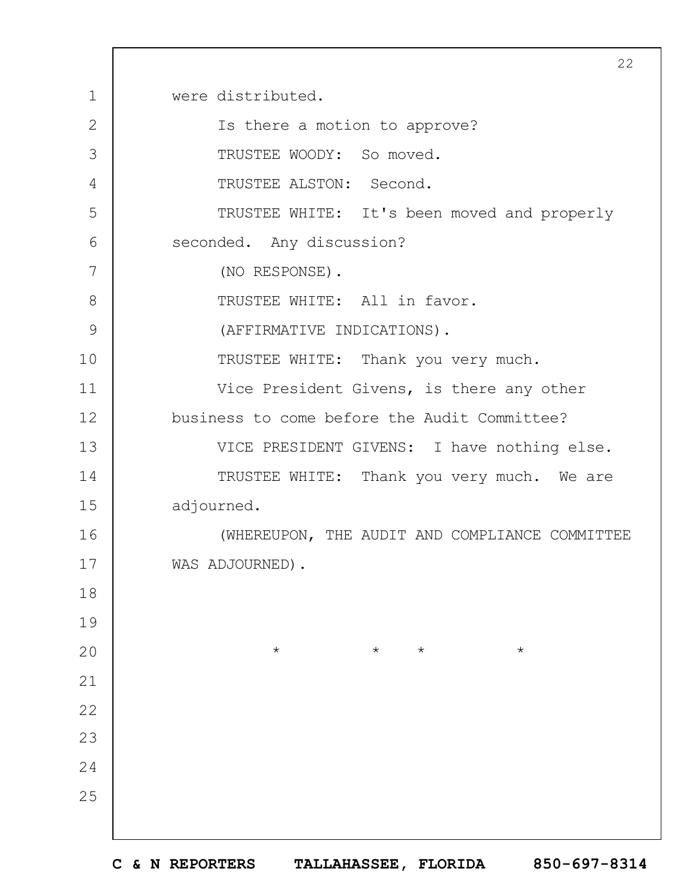|              | 22                                             |
|--------------|------------------------------------------------|
| 1            | were distributed.                              |
| $\mathbf{2}$ | Is there a motion to approve?                  |
| 3            | TRUSTEE WOODY: So moved.                       |
| 4            | TRUSTEE ALSTON: Second.                        |
| 5            | TRUSTEE WHITE: It's been moved and properly    |
| 6            | seconded. Any discussion?                      |
| 7            | (NO RESPONSE).                                 |
| 8            | TRUSTEE WHITE: All in favor.                   |
| 9            | (AFFIRMATIVE INDICATIONS).                     |
| 10           | TRUSTEE WHITE: Thank you very much.            |
| 11           | Vice President Givens, is there any other      |
| 12           | business to come before the Audit Committee?   |
| 13           | VICE PRESIDENT GIVENS: I have nothing else.    |
| 14           | TRUSTEE WHITE: Thank you very much. We are     |
| 15           | adjourned.                                     |
| 16           | (WHEREUPON, THE AUDIT AND COMPLIANCE COMMITTEE |
| 17           | WAS ADJOURNED).                                |
| 18           |                                                |
| 19           |                                                |
| 20           | $\star$<br>$\star$<br>$\star$<br>$\star$       |
| 21           |                                                |
| 22           |                                                |
| 23           |                                                |
| 24           |                                                |
| 25           |                                                |
|              |                                                |

 $\Gamma$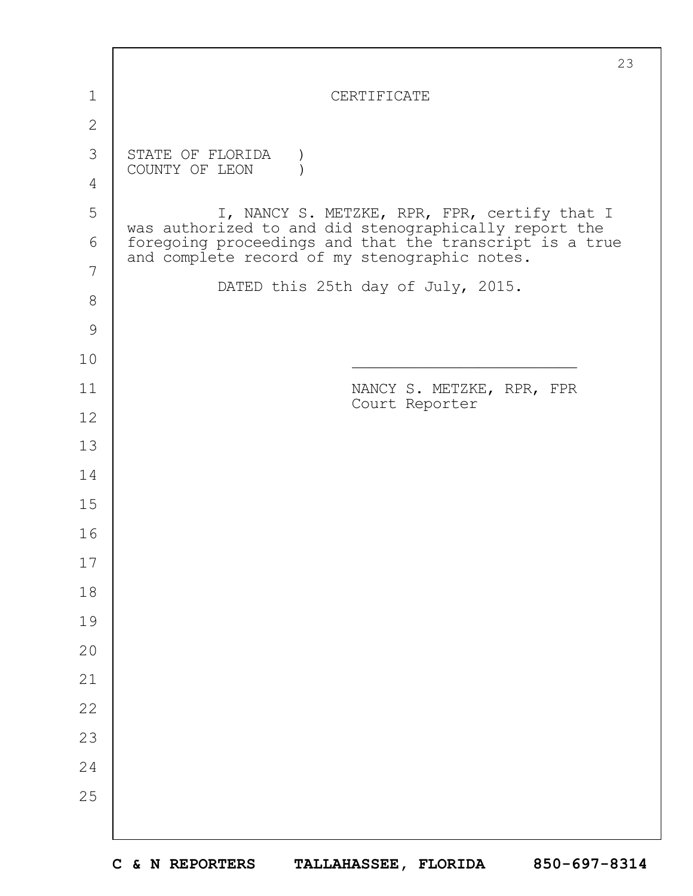|               | 23                                                                                                       |
|---------------|----------------------------------------------------------------------------------------------------------|
| 1             | CERTIFICATE                                                                                              |
| $\mathbf{2}$  |                                                                                                          |
| 3             | STATE OF FLORIDA                                                                                         |
| 4             | COUNTY OF LEON                                                                                           |
| 5             | I, NANCY S. METZKE, RPR, FPR, certify that I<br>was authorized to and did stenographically report the    |
| 6             | foregoing proceedings and that the transcript is a true<br>and complete record of my stenographic notes. |
| 7             | DATED this 25th day of July, 2015.                                                                       |
| $8\,$         |                                                                                                          |
| $\mathcal{G}$ |                                                                                                          |
| 10            |                                                                                                          |
| 11            | NANCY S. METZKE, RPR, FPR<br>Court Reporter                                                              |
| 12            |                                                                                                          |
| 13            |                                                                                                          |
| 14            |                                                                                                          |
| 15            |                                                                                                          |
| 16            |                                                                                                          |
| 17            |                                                                                                          |
| 18            |                                                                                                          |
| 19            |                                                                                                          |
| 20            |                                                                                                          |
| 21            |                                                                                                          |
| 22            |                                                                                                          |
| 23            |                                                                                                          |
| 24            |                                                                                                          |
| 25            |                                                                                                          |
|               |                                                                                                          |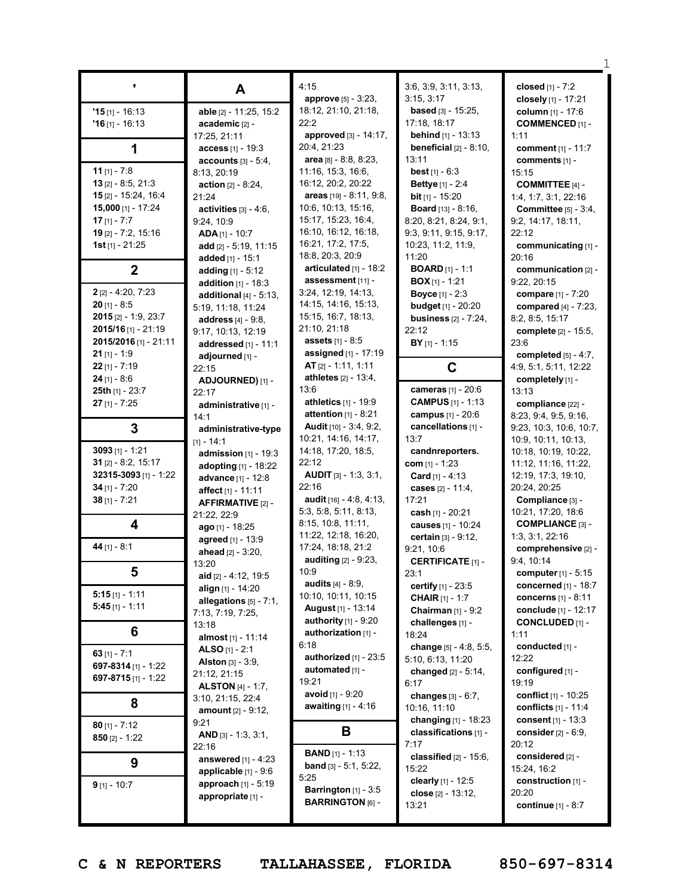|                        |                               | 4:15                             | 3:6, 3:9, 3:11, 3:13,            | closed [1] - 7:2            |
|------------------------|-------------------------------|----------------------------------|----------------------------------|-----------------------------|
|                        | A                             | approve [5] - 3:23,              | 3:15, 3:17                       | closely [1] - 17:21         |
| $'15$ [1] - 16:13      | able [2] - 11:25, 15:2        | 18:12, 21:10, 21:18,             | <b>based</b> [3] - $15:25$ ,     | column [1] - 17:6           |
| $16$ [1] - 16:13       | academic [2] -                | 22:2                             | 17:18, 18:17                     | <b>COMMENCED [1] -</b>      |
|                        | 17:25, 21:11                  | approved [3] - 14:17,            | behind [1] - 13:13               | 1:11                        |
| 1                      | access [1] - 19:3             | 20:4, 21:23                      | <b>beneficial</b> $[2] - 8:10$ , | comment $[1] - 11:7$        |
|                        | accounts $[3] - 5.4$ ,        | area [8] - 8:8, 8:23,            | 13:11                            | comments [1] -              |
| 11 [1] - 7:8           | 8:13, 20:19                   | 11:16, 15:3, 16:6,               | <b>best</b> $[1] - 6:3$          | 15:15                       |
| $13$ [2] - 8:5, 21:3   | <b>action</b> $[2] - 8:24$ ,  | 16:12, 20:2, 20:22               | <b>Bettye</b> [1] - 2:4          | <b>COMMITTEE [4] -</b>      |
| 15 [2] - 15:24, 16:4   | 21:24                         | areas $[19] - 8:11, 9:8,$        | <b>bit</b> $[1]$ - 15:20         | 1:4, 1:7, 3:1, 22:16        |
| $15,000$ [1] - 17:24   | activities $[3] - 4:6$ ,      | 10:6, 10:13, 15:16,              | Board [13] - 8:16,               | <b>Committee</b> [5] - 3:4, |
| $17$ [1] - 7:7         | 9:24, 10:9                    | 15:17, 15:23, 16:4,              | 8:20, 8:21, 8:24, 9:1,           | 9:2, 14:17, 18:11,          |
| 19 [2] - 7:2, 15:16    | $ADA_{[1]} - 10:7$            | 16:10, 16:12, 16:18,             | 9:3, 9:11, 9:15, 9:17,           | 22:12                       |
| <b>1st</b> [1] - 21:25 | add [2] - 5:19, 11:15         | 16:21, 17:2, 17:5,               | 10:23, 11:2, 11:9,               | communicating [1] -         |
|                        | added [1] - 15:1              | 18:8, 20:3, 20:9                 | 11:20                            | 20:16                       |
| $\boldsymbol{2}$       | adding $[1] - 5:12$           | articulated [1] - 18:2           | <b>BOARD</b> $[1] - 1:1$         | communication [2] -         |
|                        | <b>addition</b> $[1] - 18:3$  | assessment [11] -                | <b>BOX</b> $[1]$ - 1:21          | 9:22, 20:15                 |
| $2$ [2] - 4:20, 7:23   | additional $[4] - 5:13$ ,     | 3:24, 12:19, 14:13,              | <b>Boyce</b> [1] - 2:3           | compare [1] - 7:20          |
| 20 [1] - 8:5           | 5:19, 11:18, 11:24            | 14:15, 14:16, 15:13,             | <b>budget</b> [1] - 20:20        | compared [4] - 7:23,        |
| $2015$ [2] - 1:9, 23:7 | <b>address</b> $[4] - 9:8$ ,  | 15:15, 16:7, 18:13,              | <b>business</b> [2] - 7:24,      | 8:2, 8:5, 15:17             |
| 2015/16 [1] - 21:19    | 9:17, 10:13, 12:19            | 21:10, 21:18                     | 22:12                            | complete [2] - 15:5,        |
| 2015/2016 [1] - 21:11  | addressed [1] - 11:1          | assets [1] - 8:5                 | $BY$ <sub>[1]</sub> - 1:15       | 23:6                        |
| $21$ [1] - 1:9         | adjourned [1] -               | assigned [1] - 17:19             |                                  | completed $[5] - 4:7$ ,     |
| $22$ [1] - 7:19        | 22:15                         | AT [2] - 1:11, 1:11              | C                                | 4:9, 5:1, 5:11, 12:22       |
| $24$ [1] - 8:6         | ADJOURNED) [1] -              | <b>athletes</b> $[2] - 13:4$ ,   |                                  | completely [1] -            |
| 25th $[1]$ - 23:7      | 22:17                         | 13:6                             | cameras [1] - 20:6               | 13:13                       |
| $27$ [1] - 7:25        | administrative [1] -          | athletics [1] - 19:9             | <b>CAMPUS</b> [1] - 1:13         | compliance [22] -           |
|                        | 14:1                          | attention $[1] - 8:21$           | campus [1] - 20:6                | 8:23, 9:4, 9:5, 9:16,       |
| $\mathbf{3}$           | administrative-type           | <b>Audit</b> $[10] - 3:4, 9:2,$  | cancellations [1] -              | 9:23, 10:3, 10:6, 10:7,     |
|                        | $[1] - 14:1$                  | 10:21, 14:16, 14:17,             | 13:7                             | 10:9, 10:11, 10:13,         |
| $3093$ [1] - 1:21      | admission $[1]$ - 19:3        | 14:18, 17:20, 18:5,              | candnreporters.                  | 10:18, 10:19, 10:22,        |
| 31 $[2] - 8:2, 15:17$  | adopting [1] - 18:22          | 22:12                            | com $[1] - 1:23$                 | 11:12, 11:16, 11:22,        |
| 32315-3093 [1] - 1:22  | advance [1] - 12:8            | <b>AUDIT</b> [3] - 1:3, 3:1,     | <b>Card</b> $[1] - 4:13$         | 12:19, 17:3, 19:10,         |
| 34 $[1] - 7:20$        | affect <sub>[1]</sub> - 11:11 | 22:16                            | cases [2] - 11:4,                | 20:24, 20:25                |
| $38$ [1] - 7:21        | AFFIRMATIVE [2] -             | <b>audit</b> $[16] - 4.8, 4.13,$ | 17:21                            | Compliance [3] -            |
|                        | 21:22, 22:9                   | 5:3, 5:8, 5:11, 8:13,            | cash $[1] - 20:21$               | 10:21, 17:20, 18:6          |
| 4                      | ago [1] - 18:25               | 8:15, 10:8, 11:11,               | causes [1] - 10:24               | <b>COMPLIANCE [3] -</b>     |
|                        | agreed [1] - 13:9             | 11:22, 12:18, 16:20,             | certain $[3] - 9:12$ ,           | 1:3, 3:1, 22:16             |
| 44 $[1] - 8:1$         | ahead [2] - 3:20,             | 17:24, 18:18, 21:2               | 9:21, 10:6                       | comprehensive [2] -         |
|                        | 13:20                         | <b>auditing</b> $[2] - 9:23$ ,   | <b>CERTIFICATE [1] -</b>         | 9:4.10:14                   |
| 5                      | aid [2] - 4:12, 19:5          | 10:9                             | 23:1                             | computer [1] - 5:15         |
| $5:15$ [1] - 1:11      | align [1] - 14:20             | <b>audits</b> $[4] - 8:9$ ,      | certify [1] - 23:5               | concerned [1] - 18:7        |
|                        | allegations $[5] - 7:1$ ,     | 10:10, 10:11, 10:15              | <b>CHAIR</b> [1] - 1:7           | concerns [1] - 8:11         |
| $5:45$ [1] - 1:11      | 7:13, 7:19, 7:25,             | <b>August</b> [1] - 13:14        | <b>Chairman</b> $[1] - 9:2$      | conclude [1] - 12:17        |
|                        | 13:18                         | authority [1] - 9:20             | challenges [1] -                 | <b>CONCLUDED [1] -</b>      |
| 6                      | almost [1] - 11:14            | authorization [1] -              | 18:24                            | 1:11                        |
| 63 $[1] - 7:1$         | ALSO [1] - $2:1$              | 6:18                             | change [5] - 4:8, 5:5,           | conducted [1] -             |
| 697-8314 [1] - 1:22    | <b>Alston [3] - 3:9.</b>      | authorized [1] - 23:5            | 5:10, 6:13, 11:20                | 12:22                       |
| 697-8715 $[1]$ - 1:22  | 21:12, 21:15                  | automated [1] -                  | changed [2] - 5:14,              | configured [1] -            |
|                        | <b>ALSTON</b> $[4] - 1:7$ ,   | 19:21                            | 6:17                             | 19:19                       |
| 8                      | 3:10, 21:15, 22:4             | avoid [1] - 9:20                 | changes $[3] - 6:7$ ,            | conflict [1] - 10:25        |
|                        | <b>amount</b> $[2] - 9:12$ ,  | <b>awaiting</b> $[1] - 4:16$     | 10:16, 11:10                     | conflicts $[1] - 11:4$      |
| $80$ [1] - 7:12        | 9:21                          |                                  | changing [1] - 18:23             | consent [1] - 13:3          |
| 850 $[2] - 1:22$       | AND $[3] - 1:3, 3:1,$         | B                                | classifications [1] -            | consider [2] - 6:9,         |
|                        | 22:16                         | <b>BAND</b> $[1] - 1:13$         | 7:17                             | 20:12                       |
| 9                      | answered $[1] - 4:23$         | <b>band</b> $[3] - 5:1, 5:22,$   | classified $[2] - 15:6$ ,        | considered [2] -            |
|                        | applicable [1] - 9:6          | 5:25                             | 15:22                            | 15:24, 16:2                 |
| $9$ [1] - 10:7         | approach [1] - 5:19           | <b>Barrington</b> $[1] - 3:5$    | clearly [1] - 12:5               | construction [1] -          |
|                        | appropriate [1] -             | <b>BARRINGTON</b> [6] -          | close [2] - 13:12,               | 20:20                       |
|                        |                               |                                  | 13:21                            | <b>continue</b> $[1] - 8:7$ |
|                        |                               |                                  |                                  |                             |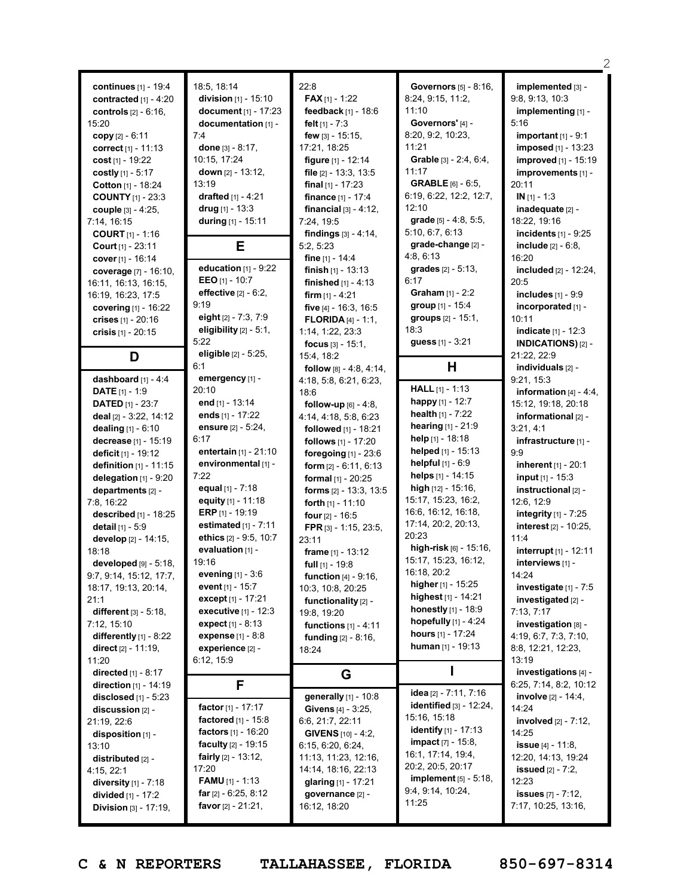| continues $[1] - 19:4$<br>contracted $[1] - 4:20$<br>controls $[2] - 6:16$ ,<br>15:20<br>copy $[2] - 6:11$<br>correct [1] - 11:13<br>cost $[1]$ - 19:22<br>costly [1] - 5:17<br>Cotton [1] - 18:24<br><b>COUNTY</b> $[1]$ - 23:3<br>couple [3] - 4:25.<br>7:14, 16:15<br><b>COURT</b> $[1] - 1:16$<br>Court [1] - 23:11<br>cover [1] - 16:14                                                                                                                                                                              | 18:5. 18:14<br>division [1] - 15:10<br>document [1] - 17:23<br>documentation [1] -<br>7:4<br>done $[3] - 8:17$ ,<br>10:15, 17:24<br>down $[2] - 13:12$ ,<br>13:19<br>drafted [1] - 4:21<br>drug $[1] - 13:3$<br>during [1] - 15:11<br>E                                                                                                                                                                                                                                             | 22:8<br><b>FAX</b> [1] - 1:22<br>feedback [1] - 18:6<br>felt $[1] - 7:3$<br>few $[3] - 15:15$ ,<br>17:21, 18:25<br>figure $[1] - 12:14$<br>file $[2] - 13:3, 13:5$<br>final $[1] - 17:23$<br>finance [1] - 17:4<br>financial $[3] - 4:12$ ,<br>7:24, 19:5<br><b>findings</b> $[3] - 4:14$ ,<br>5:2, 5:23<br>fine $[1] - 14:4$                                                                                                                                                                                                                              | <b>Governors</b> [5] - 8:16,<br>8:24, 9:15, 11:2,<br>11:10<br>Governors' [4] -<br>8:20, 9:2, 10:23,<br>11:21<br>Grable [3] - 2:4, 6:4,<br>11:17<br><b>GRABLE</b> [6] - 6:5,<br>6:19, 6:22, 12:2, 12:7,<br>12:10<br>grade [5] - 4:8, 5:5,<br>5:10, 6:7, 6:13<br>grade-change [2] -<br>4:8, 6:13                                                                                                                                                                                                                                             | implemented [3] -<br>9:8, 9:13, 10:3<br>implementing [1] -<br>5:16<br>important $[1] - 9:1$<br><b>imposed</b> [1] - 13:23<br><b>improved</b> [1] - 15:19<br>improvements [1] -<br>20:11<br>$IN [1] - 1:3$<br>inadequate [2] -<br>18:22, 19:16<br>incidents [1] - 9:25<br><b>include</b> $[2] - 6:8$ ,<br>16:20                                                                                                                                                                    |
|---------------------------------------------------------------------------------------------------------------------------------------------------------------------------------------------------------------------------------------------------------------------------------------------------------------------------------------------------------------------------------------------------------------------------------------------------------------------------------------------------------------------------|-------------------------------------------------------------------------------------------------------------------------------------------------------------------------------------------------------------------------------------------------------------------------------------------------------------------------------------------------------------------------------------------------------------------------------------------------------------------------------------|------------------------------------------------------------------------------------------------------------------------------------------------------------------------------------------------------------------------------------------------------------------------------------------------------------------------------------------------------------------------------------------------------------------------------------------------------------------------------------------------------------------------------------------------------------|--------------------------------------------------------------------------------------------------------------------------------------------------------------------------------------------------------------------------------------------------------------------------------------------------------------------------------------------------------------------------------------------------------------------------------------------------------------------------------------------------------------------------------------------|-----------------------------------------------------------------------------------------------------------------------------------------------------------------------------------------------------------------------------------------------------------------------------------------------------------------------------------------------------------------------------------------------------------------------------------------------------------------------------------|
| coverage [7] - 16:10,<br>16:11, 16:13, 16:15,<br>16:19, 16:23, 17:5<br>covering [1] - 16:22<br>crises [1] - 20:16<br>crisis $[1] - 20:15$<br>D<br>dashboard [1] - 4:4                                                                                                                                                                                                                                                                                                                                                     | education $[1]$ - $9:22$<br>EEO [1] - 10:7<br>effective $[2] - 6:2$ ,<br>9:19<br>eight [2] - 7:3, 7:9<br>eligibility $[2] - 5:1$ ,<br>5:22<br>eligible [2] - 5:25,<br>6:1<br>emergency [1] -                                                                                                                                                                                                                                                                                        | <b>finish</b> $[1]$ - 13:13<br><b>finished</b> $[1] - 4:13$<br>firm $[1] - 4:21$<br>five [4] - 16:3, 16:5<br><b>FLORIDA</b> $[4] - 1:1$ ,<br>1:14, 1:22, 23:3<br>focus $[3] - 15:1$ ,<br>15:4, 18:2<br>follow $[8] - 4:8, 4:14,$                                                                                                                                                                                                                                                                                                                           | <b>grades</b> $[2] - 5:13$ ,<br>6:17<br><b>Graham</b> $[1] - 2:2$<br>group [1] - 15:4<br>groups $[2] - 15:1$ ,<br>18:3<br>guess [1] - 3:21<br>Н                                                                                                                                                                                                                                                                                                                                                                                            | included [2] - 12:24,<br>20:5<br>includes $[1]$ - $9:9$<br>incorporated [1] -<br>10:11<br><b>indicate</b> $[1] - 12:3$<br><b>INDICATIONS)</b> [2] -<br>21:22, 22:9<br>individuals [2] -<br>9:21, 15:3                                                                                                                                                                                                                                                                             |
| <b>DATE</b> $[1] - 1:9$<br><b>DATED</b> $[1]$ - 23:7<br>deal [2] - 3:22, 14:12<br>dealing [1] - 6:10<br>decrease [1] - 15:19<br>deficit [1] - 19:12<br>definition [1] - 11:15<br>delegation $[1]$ - $9:20$<br>departments [2] -<br>7:8, 16:22<br>described [1] - 18:25<br>detail [1] - 5:9<br>develop [2] - 14:15,<br>18:18<br>developed [9] - 5:18,<br>9:7, 9:14, 15:12, 17:7,<br>18:17, 19:13, 20:14,<br>21:1<br>different $[3] - 5:18$ ,<br>7:12, 15:10<br>differently $[1]$ - 8:22<br>direct $[2] - 11:19$ ,<br>11:20 | 20:10<br>end $[1]$ - 13:14<br>ends [1] - 17:22<br>ensure [2] - 5:24,<br>6:17<br>entertain [1] - 21:10<br>environmental [1] -<br>7:22<br>equal [1] - 7:18<br>equity $[1] - 11:18$<br>ERP $[1]$ - 19:19<br>estimated $[1]$ - $7:11$<br>ethics [2] - 9:5, 10:7<br>evaluation [1] -<br>19:16<br>evening $[1] - 3.6$<br>event [1] - 15:7<br>except [1] - 17:21<br><b>executive</b> $[1] - 12:3$<br>expect $[1] - 8:13$<br><b>expense</b> $[1] - 8.8$<br>experience $[2]$ -<br>6:12, 15:9 | 4:18, 5:8, 6:21, 6:23,<br>18:6<br>follow-up $[6] - 4:8$ ,<br>4:14, 4:18, 5:8, 6:23<br>followed [1] - 18:21<br>follows [1] - 17:20<br>foregoing $[1]$ - 23:6<br>form $[2] - 6:11, 6:13$<br>formal $[1] - 20:25$<br><b>forms</b> $[2] - 13:3, 13:5$<br><b>forth</b> $[1] - 11:10$<br><b>four</b> $[2] - 16:5$<br>FPR $[3] - 1:15$ , 23:5,<br>23:11<br>frame $[1] - 13:12$<br><b>full</b> $[1]$ - 19:8<br>function [4] - 9:16,<br>10:3, 10:8, 20:25<br>functionality [2] -<br>19:8, 19:20<br>functions $[1] - 4:11$<br><b>funding</b> $[2] - 8:16$ ,<br>18:24 | HALL [1] - 1:13<br>happy [1] - 12:7<br><b>health</b> $[1] - 7:22$<br><b>hearing</b> $[1] - 21:9$<br>help $[1]$ - 18:18<br>helped $[1]$ - 15:13<br><b>helpful</b> $[1] - 6:9$<br>helps [1] - 14:15<br>high $[12] - 15:16$ ,<br>15:17, 15:23, 16:2,<br>16:6, 16:12, 16:18,<br>17:14, 20:2, 20:13,<br>20:23<br>high-risk $[6] - 15:16$ ,<br>15:17, 15:23, 16:12,<br>16:18, 20:2<br>higher $[1]$ - 15:25<br>highest [1] - 14:21<br><b>honestly</b> $[1]$ - 18:9<br>hopefully $[1]$ - 4:24<br>hours $[1] - 17:24$<br><b>human</b> $[1]$ - 19:13 | information $[4] - 4:4$ ,<br>15:12, 19:18, 20:18<br>informational [2] -<br>3:21, 4:1<br>infrastructure [1] -<br>9:9<br>inherent $[1] - 20:1$<br><b>input</b> $[1]$ - 15:3<br>instructional [2] -<br>12:6, 12:9<br>integrity $[1]$ - $7:25$<br>interest [2] - 10:25,<br>11:4<br>interrupt $[1] - 12:11$<br>interviews [1] -<br>14:24<br>investigate $[1]$ - 7:5<br>investigated [2] -<br>7:13, 7:17<br>investigation [8] -<br>4:19, 6:7, 7:3, 7:10,<br>8:8, 12:21, 12:23,<br>13:19 |
| <b>directed</b> $[1] - 8:17$<br>direction $[1]$ - 14:19<br>disclosed $[1]$ - 5:23<br>discussion [2] -<br>21:19, 22:6                                                                                                                                                                                                                                                                                                                                                                                                      | F<br><b>factor</b> [1] - 17:17<br>factored $[1] - 15.8$                                                                                                                                                                                                                                                                                                                                                                                                                             | G<br>generally [1] - 10:8<br>Givens [4] - 3:25,<br>6:6, 21:7, 22:11                                                                                                                                                                                                                                                                                                                                                                                                                                                                                        | idea [2] - 7:11, 7:16<br>identified $[3] - 12:24$ ,<br>15:16, 15:18                                                                                                                                                                                                                                                                                                                                                                                                                                                                        | investigations [4] -<br>6:25, 7:14, 8:2, 10:12<br><b>involve</b> [2] - 14:4,<br>14:24<br><b>involved</b> $[2] - 7:12$ ,                                                                                                                                                                                                                                                                                                                                                           |
| disposition [1] -<br>13:10<br>distributed [2] -<br>4:15, 22:1<br>diversity $[1]$ - $7:18$<br>divided [1] - 17:2<br><b>Division</b> $[3] - 17:19$ ,                                                                                                                                                                                                                                                                                                                                                                        | <b>factors</b> $[1] - 16:20$<br>faculty $[2] - 19:15$<br><b>fairly</b> $[2] - 13:12$ ,<br>17:20<br><b>FAMU</b> $[1]$ - 1:13<br>far $[2] - 6:25, 8:12$<br>favor $[2] - 21:21$ ,                                                                                                                                                                                                                                                                                                      | <b>GIVENS</b> $[10] - 4:2$ ,<br>6:15, 6:20, 6:24,<br>11:13, 11:23, 12:16,<br>14:14, 18:16, 22:13<br>glaring $[1] - 17:21$<br>governance [2] -<br>16:12, 18:20                                                                                                                                                                                                                                                                                                                                                                                              | <b>identify</b> [1] - 17:13<br><b>impact</b> [7] - 15:8,<br>16:1, 17:14, 19:4,<br>20:2, 20:5, 20:17<br>implement $[5] - 5:18$ ,<br>9:4, 9:14, 10:24,<br>11:25                                                                                                                                                                                                                                                                                                                                                                              | 14:25<br><b>issue</b> $[4] - 11:8$ ,<br>12:20, 14:13, 19:24<br><b>issued</b> [2] - 7:2,<br>12:23<br><b>issues</b> [7] - 7:12,<br>7:17, 10:25, 13:16,                                                                                                                                                                                                                                                                                                                              |

2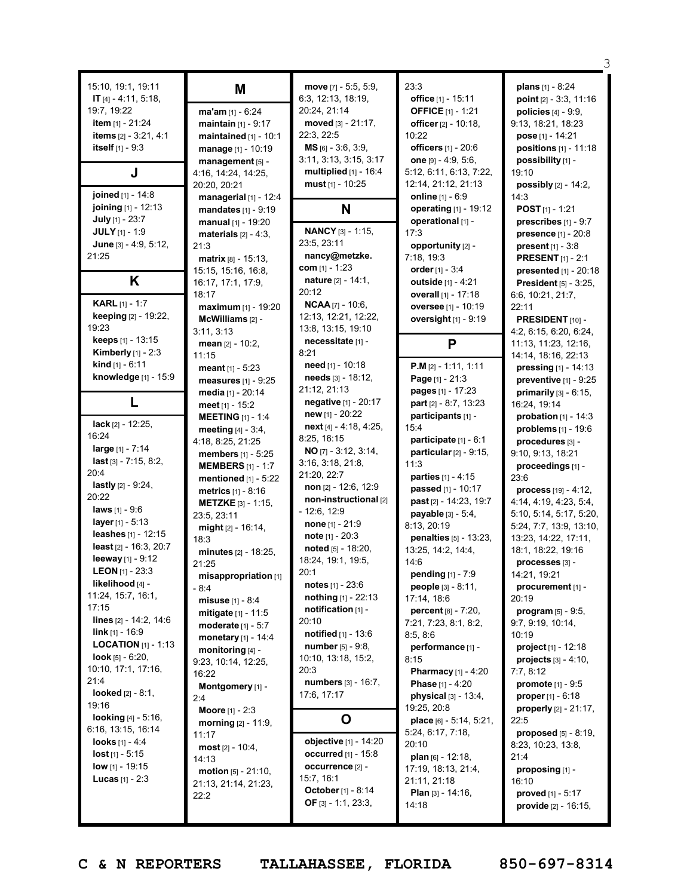|                                                                                                                                                                                                                                                                                                                                                                                                                                                                                                                                                                                                                                                                                 |                                                                                                                                                                                                                                                                                                                                                                                                                                                                                                                                                                                                                                                                                    |                                                                                                                                                                                                                                                                                                                                                                                                                                                                                                                                                                                                                                  |                                                                                                                                                                                                                                                                                                                                                                                                                                                                                                                                                                                                                                                                  | З                                                                                                                                                                                                                                                                                                                                                                                                                                                                                                                                                                                                                                                                                                  |
|---------------------------------------------------------------------------------------------------------------------------------------------------------------------------------------------------------------------------------------------------------------------------------------------------------------------------------------------------------------------------------------------------------------------------------------------------------------------------------------------------------------------------------------------------------------------------------------------------------------------------------------------------------------------------------|------------------------------------------------------------------------------------------------------------------------------------------------------------------------------------------------------------------------------------------------------------------------------------------------------------------------------------------------------------------------------------------------------------------------------------------------------------------------------------------------------------------------------------------------------------------------------------------------------------------------------------------------------------------------------------|----------------------------------------------------------------------------------------------------------------------------------------------------------------------------------------------------------------------------------------------------------------------------------------------------------------------------------------------------------------------------------------------------------------------------------------------------------------------------------------------------------------------------------------------------------------------------------------------------------------------------------|------------------------------------------------------------------------------------------------------------------------------------------------------------------------------------------------------------------------------------------------------------------------------------------------------------------------------------------------------------------------------------------------------------------------------------------------------------------------------------------------------------------------------------------------------------------------------------------------------------------------------------------------------------------|----------------------------------------------------------------------------------------------------------------------------------------------------------------------------------------------------------------------------------------------------------------------------------------------------------------------------------------------------------------------------------------------------------------------------------------------------------------------------------------------------------------------------------------------------------------------------------------------------------------------------------------------------------------------------------------------------|
| 15:10, 19:1, 19:11<br>$IT [4] - 4:11, 5:18,$<br>19:7, 19:22<br>item $[1] - 21:24$<br>items [2] - 3:21, 4:1<br><b>itself</b> $[1] - 9:3$<br>J<br>joined [1] - 14:8<br><b>joining</b> $[1]$ - 12:13<br>July [1] - 23:7<br><b>JULY</b> $[1]$ - 1:9<br>June [3] - 4:9, 5:12,<br>21:25<br>Κ                                                                                                                                                                                                                                                                                                                                                                                          | M<br>$ma'am$ [1] - 6:24<br>maintain [1] - 9:17<br>maintained $[1]$ - 10:1<br>manage [1] - 10:19<br>management [5] -<br>4:16, 14:24, 14:25,<br>20:20, 20:21<br>managerial $[1]$ - 12:4<br>mandates $[1] - 9:19$<br>manual [1] - 19:20<br>materials $[2] - 4:3$ ,<br>21:3<br>$matrix_{[8]} - 15:13,$<br>15:15, 15:16, 16:8,<br>16:17, 17:1, 17:9,                                                                                                                                                                                                                                                                                                                                    | move [7] - 5:5, 5:9,<br>6:3, 12:13, 18:19,<br>20:24, 21:14<br>moved [3] - 21:17,<br>22:3, 22:5<br>$MS$ [6] - 3:6, 3:9,<br>3:11, 3:13, 3:15, 3:17<br>multiplied [1] - 16:4<br>must [1] - 10:25<br>N<br><b>NANCY</b> [3] - 1:15,<br>23:5, 23:11<br>nancy@metzke.<br>com $[1] - 1:23$<br><b>nature</b> $[2] - 14:1$ ,                                                                                                                                                                                                                                                                                                               | 23:3<br>office [1] - 15:11<br><b>OFFICE</b> [1] - 1:21<br>officer [2] - 10:18,<br>10:22<br>officers [1] - 20:6<br>one $[9] - 4:9, 5:6,$<br>5:12, 6:11, 6:13, 7:22,<br>12:14, 21:12, 21:13<br>online [1] - 6:9<br>operating [1] - 19:12<br>operational [1] -<br>17:3<br>opportunity [2] -<br>7:18, 19:3<br>order $[1] - 3:4$<br>outside [1] - 4:21                                                                                                                                                                                                                                                                                                                | plans [1] - 8:24<br>point $[2] - 3:3, 11:16$<br>policies $[4] - 9.9$ ,<br>9:13, 18:21, 18:23<br>pose [1] - 14:21<br>positions [1] - 11:18<br>possibility [1] -<br>19:10<br><b>possibly</b> $[2] - 14:2$ ,<br>14:3<br>POST [1] - 1:21<br>prescribes $[1]$ - $9:7$<br><b>presence</b> $[1] - 20:8$<br><b>present</b> $[1] - 3:8$<br><b>PRESENT</b> [1] - 2:1<br>presented [1] - 20:18<br>President [5] - 3:25,                                                                                                                                                                                                                                                                                       |
|                                                                                                                                                                                                                                                                                                                                                                                                                                                                                                                                                                                                                                                                                 | 18:17                                                                                                                                                                                                                                                                                                                                                                                                                                                                                                                                                                                                                                                                              | 20:12                                                                                                                                                                                                                                                                                                                                                                                                                                                                                                                                                                                                                            | overall [1] - 17:18                                                                                                                                                                                                                                                                                                                                                                                                                                                                                                                                                                                                                                              | 6:6, 10:21, 21:7,                                                                                                                                                                                                                                                                                                                                                                                                                                                                                                                                                                                                                                                                                  |
| <b>KARL</b> $[1] - 1:7$<br>keeping [2] - 19:22,<br>19:23<br>keeps [1] - 13:15                                                                                                                                                                                                                                                                                                                                                                                                                                                                                                                                                                                                   | maximum [1] - 19:20<br>McWilliams [2] -<br>3:11, 3:13<br>mean $[2] - 10:2$                                                                                                                                                                                                                                                                                                                                                                                                                                                                                                                                                                                                         | <b>NCAA</b> $[7] - 10:6$<br>12:13, 12:21, 12:22,<br>13:8, 13:15, 19:10<br>necessitate [1] -                                                                                                                                                                                                                                                                                                                                                                                                                                                                                                                                      | oversee [1] - 10:19<br>oversight [1] - 9:19<br>P                                                                                                                                                                                                                                                                                                                                                                                                                                                                                                                                                                                                                 | 22:11<br>PRESIDENT [10] -<br>4:2, 6:15, 6:20, 6:24,<br>11:13, 11:23, 12:16,                                                                                                                                                                                                                                                                                                                                                                                                                                                                                                                                                                                                                        |
| Kimberly $[1]$ - 2:3                                                                                                                                                                                                                                                                                                                                                                                                                                                                                                                                                                                                                                                            | 11:15                                                                                                                                                                                                                                                                                                                                                                                                                                                                                                                                                                                                                                                                              | 8:21                                                                                                                                                                                                                                                                                                                                                                                                                                                                                                                                                                                                                             |                                                                                                                                                                                                                                                                                                                                                                                                                                                                                                                                                                                                                                                                  | 14:14, 18:16, 22:13                                                                                                                                                                                                                                                                                                                                                                                                                                                                                                                                                                                                                                                                                |
| <b>kind</b> $[1] - 6:11$<br>knowledge [1] - 15:9                                                                                                                                                                                                                                                                                                                                                                                                                                                                                                                                                                                                                                | meant [1] - 5:23<br>measures [1] - 9:25<br>media [1] - 20:14                                                                                                                                                                                                                                                                                                                                                                                                                                                                                                                                                                                                                       | need [1] - 10:18<br>needs [3] - 18:12,<br>21:12, 21:13                                                                                                                                                                                                                                                                                                                                                                                                                                                                                                                                                                           | $P.M$ [2] - 1:11, 1:11<br>Page $[1] - 21:3$<br><b>pages</b> $[1] - 17:23$                                                                                                                                                                                                                                                                                                                                                                                                                                                                                                                                                                                        | pressing [1] - 14:13<br>preventive [1] - 9:25<br>primarily $[3]$ - $6:15$ ,                                                                                                                                                                                                                                                                                                                                                                                                                                                                                                                                                                                                                        |
| L                                                                                                                                                                                                                                                                                                                                                                                                                                                                                                                                                                                                                                                                               | meet $[1]$ - 15:2                                                                                                                                                                                                                                                                                                                                                                                                                                                                                                                                                                                                                                                                  | negative [1] - 20:17                                                                                                                                                                                                                                                                                                                                                                                                                                                                                                                                                                                                             | part [2] - 8:7, 13:23                                                                                                                                                                                                                                                                                                                                                                                                                                                                                                                                                                                                                                            | 16:24, 19:14                                                                                                                                                                                                                                                                                                                                                                                                                                                                                                                                                                                                                                                                                       |
| <b>lack</b> $[2] - 12:25$ ,<br>16:24<br>large [1] - 7:14<br>$last[3] - 7:15, 8:2,$<br>20:4<br><b>lastly</b> $[2] - 9:24$ ,<br>20:22<br>laws [1] - 9:6<br>layer $[1] - 5:13$<br>leashes [1] - 12:15<br>least [2] - 16:3, 20:7<br>leeway $[1] - 9:12$<br><b>LEON</b> $[1]$ - 23:3<br>likelihood [4] -<br>11:24, 15:7, 16:1,<br>17:15<br>lines [2] - 14:2, 14:6<br>$link_{[1]} - 16:9$<br><b>LOCATION</b> $[1]$ - 1:13<br><b>look</b> $[5] - 6:20$ ,<br>10:10, 17:1, 17:16,<br>21:4<br>looked $[2] - 8:1$ ,<br>19:16<br>looking $[4] - 5:16$ ,<br>6:16, 13:15, 16:14<br><b>looks</b> $[1] - 4:4$<br><b>lost</b> $[1] - 5:15$<br><b>low</b> [1] - 19:15<br><b>Lucas</b> $[1] - 2:3$ | <b>MEETING</b> $[1] - 1:4$<br><b>meeting</b> $[4] - 3:4$ ,<br>4:18, 8:25, 21:25<br>members [1] - 5:25<br><b>MEMBERS</b> $[1] - 1:7$<br>mentioned $[1] - 5:22$<br><b>metrics</b> $[1] - 8:16$<br><b>METZKE</b> $[3] - 1:15$ ,<br>23:5, 23:11<br>$might$ [2] - 16:14,<br>18:3<br>minutes [2] - 18:25,<br>21:25<br>misappropriation [1]<br>- 8:4<br><b>misuse</b> $[1] - 8:4$<br>mitigate [1] - 11:5<br><b>moderate</b> $[1] - 5:7$<br>monetary [1] - 14:4<br>monitoring [4] -<br>9:23, 10:14, 12:25,<br>16:22<br>Montgomery [1] -<br>2:4<br>Moore [1] - 2:3<br>morning [2] - 11:9,<br>11:17<br>$most [2] - 10:4,$<br>14:13<br>motion $[5] - 21:10$ ,<br>21:13, 21:14, 21:23,<br>22:2 | new [1] - 20:22<br>next [4] - 4:18, 4:25,<br>8:25, 16:15<br>$NO$ [7] - 3:12, 3:14,<br>3:16, 3:18, 21:8,<br>21:20, 22:7<br>non $[2] - 12:6, 12:9$<br>non-instructional [2]<br>$-12:6, 12:9$<br><b>none</b> $[1] - 21:9$<br>note [1] - 20:3<br>noted [5] - 18:20,<br>18:24, 19:1, 19:5,<br>20:1<br>notes $[1] - 23:6$<br>nothing [1] - 22:13<br>notification [1] -<br>20:10<br>notified [1] - 13:6<br>number [5] - 9:8.<br>10:10, 13:18, 15:2,<br>20:3<br>numbers [3] - 16:7,<br>17:6, 17:17<br>O<br>objective [1] - 14:20<br>occurred [1] - 15:8<br>occurrence [2] -<br>15:7, 16:1<br>October [1] - 8:14<br>OF $[3] - 1:1, 23:3,$ | participants [1] -<br>15:4<br>participate [1] - 6:1<br>particular [2] - 9:15,<br>11:3<br><b>parties</b> $[1] - 4:15$<br>passed [1] - 10:17<br>past [2] - 14:23, 19:7<br>payable [3] - 5:4,<br>8:13, 20:19<br>penalties [5] - 13:23,<br>13:25, 14:2, 14:4,<br>14:6<br>pending [1] - 7:9<br>people [3] - 8:11,<br>17:14, 18:6<br>percent [8] - 7:20,<br>7:21, 7:23, 8:1, 8:2,<br>8:5, 8:6<br>performance [1] -<br>8:15<br>Pharmacy [1] - 4:20<br><b>Phase</b> [1] - 4:20<br>physical [3] - 13:4,<br>19:25, 20:8<br>place [6] - 5:14, 5:21,<br>5:24, 6:17, 7:18,<br>20:10<br>plan [6] - 12:18,<br>17:19, 18:13, 21:4,<br>21:11, 21:18<br>Plan [3] - 14:16,<br>14:18 | probation $[1] - 14:3$<br>problems $[1]$ - 19:6<br>procedures [3] -<br>9:10, 9:13, 18:21<br>proceedings [1] -<br>23:6<br><b>process</b> $[19] - 4:12$ ,<br>4:14, 4:19, 4:23, 5:4,<br>5:10, 5:14, 5:17, 5:20,<br>5:24, 7:7, 13:9, 13:10,<br>13:23, 14:22, 17:11,<br>18:1, 18:22, 19:16<br>processes [3] -<br>14:21, 19:21<br>procurement [1] -<br>20:19<br><b>program</b> $[5] - 9:5$ ,<br>9:7, 9:19, 10:14,<br>10:19<br>project [1] - 12:18<br>projects [3] - 4:10,<br>7:7,8:12<br>promote [1] - 9:5<br><b>proper</b> $[1] - 6:18$<br>properly [2] - 21:17,<br>22:5<br>proposed [5] - 8:19,<br>8:23, 10:23, 13:8,<br>21:4<br>proposing [1] -<br>16:10<br>proved [1] - 5:17<br>provide [2] - 16:15, |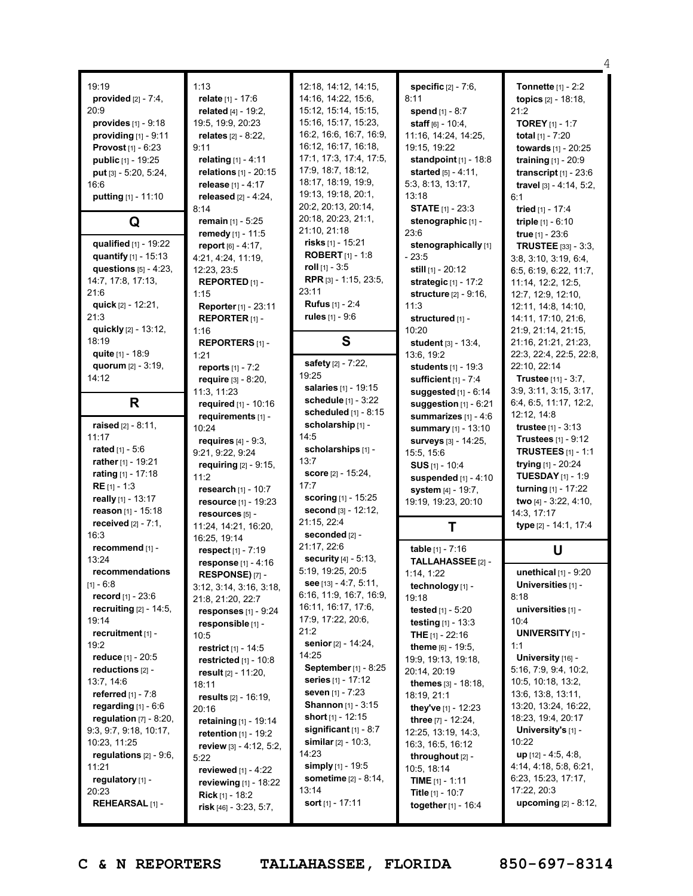|                              |                                                    |                             |                                           | 4                                   |
|------------------------------|----------------------------------------------------|-----------------------------|-------------------------------------------|-------------------------------------|
| 19:19                        | 1:13                                               | 12:18, 14:12, 14:15,        | <b>specific</b> $[2] - 7:6$ ,             | <b>Tonnette</b> $[1] - 2:2$         |
| provided $[2] - 7:4$ ,       | relate [1] - 17:6                                  | 14:16, 14:22, 15:6,         | 8:11                                      | topics [2] - 18:18,                 |
| 20:9                         | related [4] - 19:2,                                | 15:12, 15:14, 15:15,        | spend [1] - 8:7                           | 21:2                                |
| provides [1] - 9:18          | 19:5, 19:9, 20:23                                  | 15:16, 15:17, 15:23,        | staff $[6] - 10:4$ ,                      | <b>TOREY</b> [1] - 1:7              |
| providing $[1]$ - $9:11$     | relates [2] - 8:22,                                | 16:2, 16:6, 16:7, 16:9,     | 11:16, 14:24, 14:25,                      | total $[1] - 7:20$                  |
| <b>Provost</b> $[1] - 6:23$  | 9:11                                               | 16:12, 16:17, 16:18,        | 19:15, 19:22                              | towards [1] - 20:25                 |
| public [1] - 19:25           | relating $[1] - 4:11$                              | 17:1, 17:3, 17:4, 17:5,     | standpoint $[1]$ - 18:8                   | training $[1] - 20.9$               |
| put [3] - 5:20, 5:24,        | relations [1] - 20:15                              | 17:9, 18:7, 18:12,          | started [5] - 4:11,                       | transcript $[1]$ - 23:6             |
| 16:6                         | release [1] - 4:17                                 | 18:17, 18:19, 19:9,         | 5:3, 8:13, 13:17,                         | travel [3] - 4:14, 5:2,             |
| putting [1] - 11:10          | released $[2] - 4:24$ ,                            | 19:13, 19:18, 20:1,         | 13:18                                     | 6:1                                 |
|                              | 8:14                                               | 20:2, 20:13, 20:14,         | <b>STATE</b> $[1]$ - 23:3                 | tried [1] - 17:4                    |
| Q                            | remain [1] - 5:25                                  | 20:18, 20:23, 21:1,         | stenographic [1] -                        | triple $[1] - 6:10$                 |
|                              | remedy [1] - 11:5                                  | 21:10, 21:18                | 23:6                                      | <b>true</b> $[1] - 23:6$            |
| qualified [1] - 19:22        | report $[6] - 4:17$ ,                              | <b>risks</b> [1] - 15:21    | stenographically [1]                      | <b>TRUSTEE</b> [33] - 3:3,          |
| quantify $[1] - 15:13$       | 4:21, 4:24, 11:19,                                 | <b>ROBERT</b> $[1] - 1:8$   | $-23:5$                                   | 3:8, 3:10, 3:19, 6:4,               |
| questions $[5] - 4:23$ ,     | 12:23, 23:5                                        | $roll$ [1] - 3:5            | still [1] - 20:12                         | 6:5, 6:19, 6:22, 11:7,              |
| 14:7, 17:8, 17:13,           | REPORTED [1] -                                     | RPR [3] - 1:15, 23:5,       | strategic [1] - 17:2                      | 11:14, 12:2, 12:5,                  |
| 21:6                         | 1:15                                               | 23:11                       | structure [2] - 9:16,                     | 12:7, 12:9, 12:10,                  |
| quick [2] - 12:21,           | Reporter [1] - 23:11                               | <b>Rufus</b> [1] - 2:4      | 11:3                                      | 12:11, 14:8, 14:10,                 |
| 21:3                         | REPORTER <sub>[1]</sub> -                          | rules [1] - 9:6             | structured [1] -                          | 14:11, 17:10, 21:6,                 |
| quickly [2] - 13:12,         | 1:16                                               |                             | 10:20                                     | 21:9, 21:14, 21:15,                 |
| 18:19                        | <b>REPORTERS</b> [1] -                             | S                           | student [3] - 13:4,                       | 21:16, 21:21, 21:23,                |
| quite [1] - 18:9             | 1:21                                               |                             | 13:6, 19:2                                | 22:3, 22:4, 22:5, 22:8,             |
| quorum [2] - 3:19,           | <b>reports</b> $[1] - 7:2$                         | safety [2] - 7:22,          | students [1] - 19:3                       | 22:10, 22:14                        |
| 14:12                        | require $[3] - 8:20$ ,                             | 19:25                       | sufficient $[1] - 7:4$                    | Trustee [11] - 3:7,                 |
|                              | 11:3, 11:23                                        | salaries [1] - 19:15        | suggested $[1] - 6:14$                    | 3:9, 3:11, 3:15, 3:17,              |
| R                            | required [1] - 10:16                               | schedule $[1] - 3:22$       | suggestion [1] - 6:21                     | 6:4, 6:5, 11:17, 12:2,              |
|                              | requirements [1] -                                 | scheduled $[1]$ - 8:15      | summarizes $[1] - 4:6$                    | 12:12, 14:8                         |
| <b>raised</b> $[2] - 8:11$ , | 10:24                                              | scholarship [1] -           | summary [1] - 13:10                       | <b>trustee</b> $[1] - 3:13$         |
| 11:17                        | requires $[4] - 9:3$ ,                             | 14:5                        |                                           | <b>Trustees</b> $[1] - 9:12$        |
|                              |                                                    |                             |                                           |                                     |
| <b>rated</b> $[1] - 5:6$     | 9:21, 9:22, 9:24                                   | scholarships [1] -          | surveys [3] - 14:25,<br>15:5, 15:6        | <b>TRUSTEES</b> $[1] - 1:1$         |
| rather [1] - 19:21           | requiring [2] - 9:15,                              | 13:7                        | SUS $[1]$ - 10:4                          | trying [1] - 20:24                  |
| rating $[1] - 17:18$         | 11:2                                               | score [2] - 15:24,          | suspended $[1] - 4:10$                    | <b>TUESDAY</b> $[1]$ - 1:9          |
| $RE$ [1] - 1:3               | research $[1]$ - 10:7                              | 17:7                        | system [4] - 19:7,                        | turning [1] - 17:22                 |
| really [1] - 13:17           | resource [1] - 19:23                               | scoring [1] - 15:25         | 19:19, 19:23, 20:10                       | two [4] - 3:22, 4:10,               |
| reason [1] - 15:18           | resources [5] -                                    | second [3] - 12:12,         |                                           | 14:3, 17:17                         |
| received $[2] - 7:1$ ,       | 11:24, 14:21, 16:20,                               | 21:15, 22:4                 | Τ                                         | type [2] - 14:1, 17:4               |
| 16:3                         | 16:25, 19:14                                       | seconded [2] -              |                                           |                                     |
| recommend [1] -              | respect [1] - 7:19                                 | 21:17, 22:6                 | table [1] - 7:16                          | U                                   |
| 13:24                        | response [1] - 4:16                                | security [4] - 5:13,        | <b>TALLAHASSEE</b> [2] -                  |                                     |
| recommendations              | RESPONSE) [7] -                                    | 5:19, 19:25, 20:5           | 1:14, 1:22                                | unethical $[1]$ - $9:20$            |
| $[1] - 6:8$                  | 3:12, 3:14, 3:16, 3:18,                            | see [13] - 4:7, 5:11,       | technology [1] -                          | Universities [1] -                  |
| <b>record</b> $[1] - 23:6$   | 21:8, 21:20, 22:7                                  | 6:16, 11:9, 16:7, 16:9,     | 19:18                                     | 8:18                                |
| recruiting $[2] - 14:5$ ,    | responses $[1]$ - $9:24$                           | 16:11, 16:17, 17:6,         | <b>tested</b> $[1] - 5:20$                | universities [1] -                  |
| 19:14                        | responsible [1] -                                  | 17:9, 17:22, 20:6,          | <b>testing</b> $[1] - 13:3$               | 10:4                                |
| recruitment $[1]$ -          | 10:5                                               | 21:2                        | <b>THE</b> $[1]$ - 22:16                  | <b>UNIVERSITY [1] -</b>             |
| 19:2                         | restrict $[1] - 14:5$                              | senior [2] - 14:24,         | <b>theme</b> $[6] - 19:5$ ,               | 1:1                                 |
| reduce $[1] - 20.5$          | restricted $[1]$ - 10:8                            | 14:25                       | 19:9, 19:13, 19:18,                       | University [16] -                   |
| reductions $[2]$ -           | result $[2] - 11:20$ ,                             | September [1] - 8:25        | 20:14, 20:19                              | 5:16, 7:9, 9:4, 10:2,               |
| 13:7, 14:6                   | 18:11                                              | <b>series</b> [1] - 17:12   | themes [3] - 18:18,                       | 10:5, 10:18, 13:2,                  |
| <b>referred</b> $[1] - 7:8$  | <b>results</b> $[2] - 16:19$ ,                     | seven [1] - 7:23            | 18:19, 21:1                               | 13:6, 13:8, 13:11,                  |
| regarding $[1] - 6.6$        | 20:16                                              | <b>Shannon</b> $[1] - 3:15$ | they've [1] - 12:23                       | 13:20, 13:24, 16:22,                |
| regulation $[7] - 8:20$ ,    | retaining [1] - 19:14                              | short $[1]$ - 12:15         | three [7] - 12:24,                        | 18:23, 19:4, 20:17                  |
| 9:3, 9:7, 9:18, 10:17,       | retention $[1]$ - 19:2                             | significant $[1]$ - 8:7     | 12:25, 13:19, 14:3,                       | University's [1] -                  |
| 10:23, 11:25                 | review $[3] - 4:12, 5:2,$                          | similar $[2] - 10:3$ ,      | 16:3, 16:5, 16:12                         | 10:22                               |
| regulations $[2] - 9:6$ ,    | 5:22                                               | 14:23                       | throughout [2] -                          | up $[12] - 4:5, 4:8,$               |
| 11:21                        | reviewed $[1] - 4:22$                              | simply $[1] - 19.5$         | 10:5, 18:14                               | 4:14, 4:18, 5:8, 6:21,              |
| regulatory [1] -             | reviewing [1] - 18:22                              | <b>sometime</b> [2] - 8:14, | <b>TIME</b> $[1] - 1:11$                  | 6:23, 15:23, 17:17,                 |
| 20:23<br>REHEARSAL [1] -     | <b>Rick</b> [1] - 18:2<br>risk $[46] - 3:23, 5:7,$ | 13:14<br>sort [1] - 17:11   | Title [1] - 10:7<br>together $[1] - 16:4$ | 17:22, 20:3<br>upcoming [2] - 8:12, |